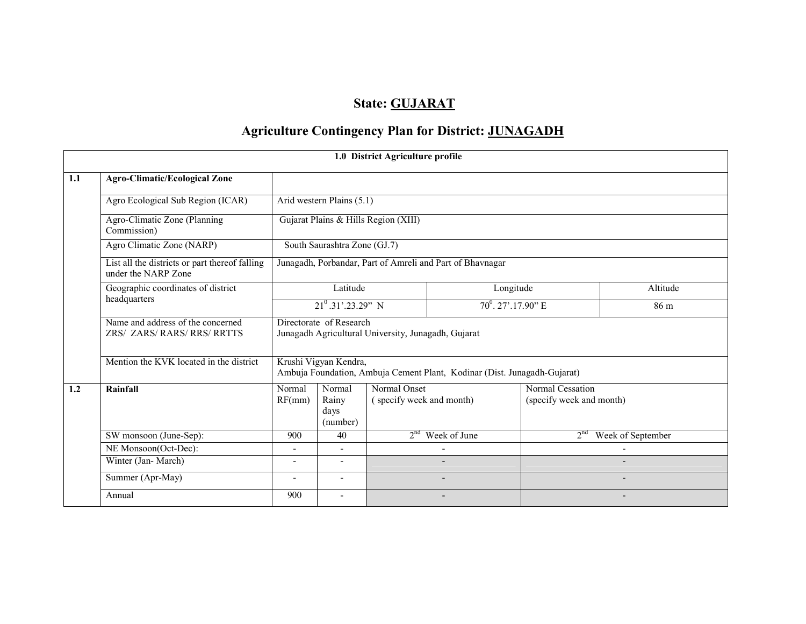## State: **GUJARAT**

# Agriculture Contingency Plan for District: JUNAGADH

|     |                                                                       |                                                                 |                              | 1.0 District Agriculture profile                    |                                                                          |                          |                   |
|-----|-----------------------------------------------------------------------|-----------------------------------------------------------------|------------------------------|-----------------------------------------------------|--------------------------------------------------------------------------|--------------------------|-------------------|
| 1.1 | <b>Agro-Climatic/Ecological Zone</b>                                  |                                                                 |                              |                                                     |                                                                          |                          |                   |
|     | Agro Ecological Sub Region (ICAR)                                     |                                                                 | Arid western Plains (5.1)    |                                                     |                                                                          |                          |                   |
|     | Agro-Climatic Zone (Planning<br>Commission)                           |                                                                 |                              | Gujarat Plains & Hills Region (XIII)                |                                                                          |                          |                   |
|     | Agro Climatic Zone (NARP)                                             |                                                                 | South Saurashtra Zone (GJ.7) |                                                     |                                                                          |                          |                   |
|     | List all the districts or part thereof falling<br>under the NARP Zone |                                                                 |                              |                                                     | Junagadh, Porbandar, Part of Amreli and Part of Bhavnagar                |                          |                   |
|     | Geographic coordinates of district                                    |                                                                 | Latitude                     |                                                     | Longitude                                                                |                          | Altitude          |
|     | headquarters                                                          | $21^0.31' .23.29''$ N                                           |                              |                                                     | $70^0$ . 27'.17.90" E                                                    |                          | 86 m              |
|     | Name and address of the concerned<br><b>ZRS/ ZARS/RARS/RRS/RRTTS</b>  |                                                                 | Directorate of Research      | Junagadh Agricultural University, Junagadh, Gujarat |                                                                          |                          |                   |
|     | Mention the KVK located in the district                               |                                                                 | Krushi Vigyan Kendra,        |                                                     | Ambuja Foundation, Ambuja Cement Plant, Kodinar (Dist. Junagadh-Gujarat) |                          |                   |
| 1.2 | Rainfall                                                              | Normal                                                          | Normal                       | Normal Onset                                        |                                                                          | Normal Cessation         |                   |
|     |                                                                       | (specify week and month)<br>RF(mm)<br>Rainy<br>days<br>(number) |                              |                                                     |                                                                          | (specify week and month) |                   |
|     | SW monsoon (June-Sep):                                                | 900                                                             | 40                           | 2 <sup>nd</sup>                                     | Week of June                                                             | 2 <sup>nd</sup>          | Week of September |
|     | NE Monsoon(Oct-Dec):                                                  |                                                                 |                              |                                                     |                                                                          |                          |                   |
|     | Winter (Jan-March)                                                    | $\sim$                                                          | $\overline{\phantom{a}}$     |                                                     |                                                                          |                          |                   |
|     | Summer (Apr-May)                                                      | $\blacksquare$                                                  | $\blacksquare$               |                                                     |                                                                          |                          |                   |
|     | Annual                                                                | 900                                                             |                              |                                                     |                                                                          |                          |                   |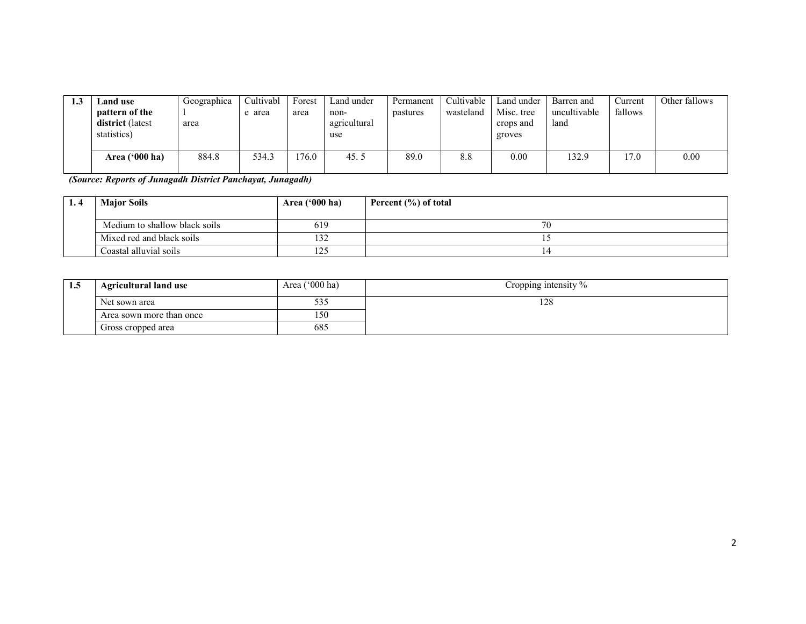| ل. 1 | Land use         | Geographica | Cultivabl | Forest | Land under   | Permanent | Cultivable | Land under | Barren and   | ⁄urrent | Other fallows |
|------|------------------|-------------|-----------|--------|--------------|-----------|------------|------------|--------------|---------|---------------|
|      | pattern of the   |             | area      | area   | non-         | pastures  | wasteland  | Misc. tree | uncultivable | fallows |               |
|      | district (latest | area        |           |        | agricultural |           |            | crops and  | land         |         |               |
|      | statistics)      |             |           |        | use          |           |            | groves     |              |         |               |
|      |                  |             |           |        |              |           |            |            |              |         |               |
|      | Area $('000 ha)$ | 884.8       | 534.3     | 76.0   | 45.5         | 89.0      | 8.8        | 0.00       | 132.9        | 17.0    | 0.00          |
|      |                  |             |           |        |              |           |            |            |              |         |               |

(Source: Reports of Junagadh District Panchayat, Junagadh)

| Area $('000 ha)$<br><b>Major Soils</b> |     | Percent (%) of total |
|----------------------------------------|-----|----------------------|
| Medium to shallow black soils          | 619 | 70                   |
| Mixed red and black soils              | 132 |                      |
| Coastal alluvial soils                 | 125 |                      |

| 1.5 | <b>Agricultural land use</b> | Area $('000 ha)$ | Cropping intensity % |
|-----|------------------------------|------------------|----------------------|
|     | Net sown area                | 333              | 128                  |
|     | Area sown more than once     | 150              |                      |
|     | Gross cropped area           | 685              |                      |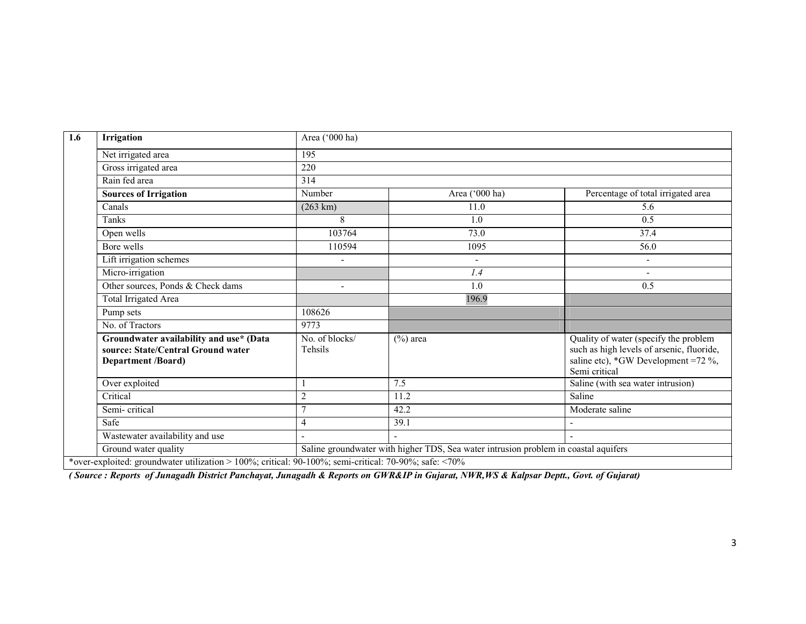| Irrigation                                                                                                 | Area ('000 ha)            |                                                                                     |                                                                                                                                            |  |  |  |  |  |  |
|------------------------------------------------------------------------------------------------------------|---------------------------|-------------------------------------------------------------------------------------|--------------------------------------------------------------------------------------------------------------------------------------------|--|--|--|--|--|--|
| Net irrigated area                                                                                         | 195                       |                                                                                     |                                                                                                                                            |  |  |  |  |  |  |
| Gross irrigated area                                                                                       | 220                       |                                                                                     |                                                                                                                                            |  |  |  |  |  |  |
| Rain fed area                                                                                              | 314                       |                                                                                     |                                                                                                                                            |  |  |  |  |  |  |
| <b>Sources of Irrigation</b>                                                                               | Number                    | Area ('000 ha)                                                                      | Percentage of total irrigated area                                                                                                         |  |  |  |  |  |  |
| Canals                                                                                                     | $(263 \text{ km})$        | 11.0                                                                                | 5.6                                                                                                                                        |  |  |  |  |  |  |
| <b>Tanks</b>                                                                                               | 8                         | 1.0                                                                                 | $\overline{0.5}$                                                                                                                           |  |  |  |  |  |  |
| Open wells                                                                                                 | 103764                    | 73.0                                                                                | 37.4                                                                                                                                       |  |  |  |  |  |  |
| Bore wells                                                                                                 | 110594                    | 1095                                                                                | 56.0                                                                                                                                       |  |  |  |  |  |  |
| Lift irrigation schemes                                                                                    |                           | $\overline{a}$                                                                      | $\overline{\phantom{a}}$                                                                                                                   |  |  |  |  |  |  |
| Micro-irrigation                                                                                           |                           | 1.4                                                                                 | $\sim$                                                                                                                                     |  |  |  |  |  |  |
| Other sources, Ponds & Check dams                                                                          | $\overline{\phantom{a}}$  | 1.0                                                                                 | 0.5                                                                                                                                        |  |  |  |  |  |  |
| <b>Total Irrigated Area</b>                                                                                |                           | 196.9                                                                               |                                                                                                                                            |  |  |  |  |  |  |
| Pump sets                                                                                                  | 108626                    |                                                                                     |                                                                                                                                            |  |  |  |  |  |  |
| No. of Tractors                                                                                            | 9773                      |                                                                                     |                                                                                                                                            |  |  |  |  |  |  |
| Groundwater availability and use* (Data<br>source: State/Central Ground water<br><b>Department /Board)</b> | No. of blocks/<br>Tehsils | $(\%)$ area                                                                         | Quality of water (specify the problem<br>such as high levels of arsenic, fluoride,<br>saline etc), *GW Development =72 %,<br>Semi critical |  |  |  |  |  |  |
| Over exploited                                                                                             |                           | 7.5                                                                                 | Saline (with sea water intrusion)                                                                                                          |  |  |  |  |  |  |
| Critical                                                                                                   | $\overline{2}$            | 11.2                                                                                | Saline                                                                                                                                     |  |  |  |  |  |  |
| Semi-critical                                                                                              | $\overline{7}$            | 42.2                                                                                | Moderate saline                                                                                                                            |  |  |  |  |  |  |
| Safe                                                                                                       | $\overline{4}$            | 39.1                                                                                |                                                                                                                                            |  |  |  |  |  |  |
| Wastewater availability and use                                                                            |                           |                                                                                     |                                                                                                                                            |  |  |  |  |  |  |
| Ground water quality                                                                                       |                           | Saline groundwater with higher TDS, Sea water intrusion problem in coastal aquifers |                                                                                                                                            |  |  |  |  |  |  |

( Source : Reports of Junagadh District Panchayat, Junagadh & Reports on GWR&IP in Gujarat, NWR,WS & Kalpsar Deptt., Govt. of Gujarat)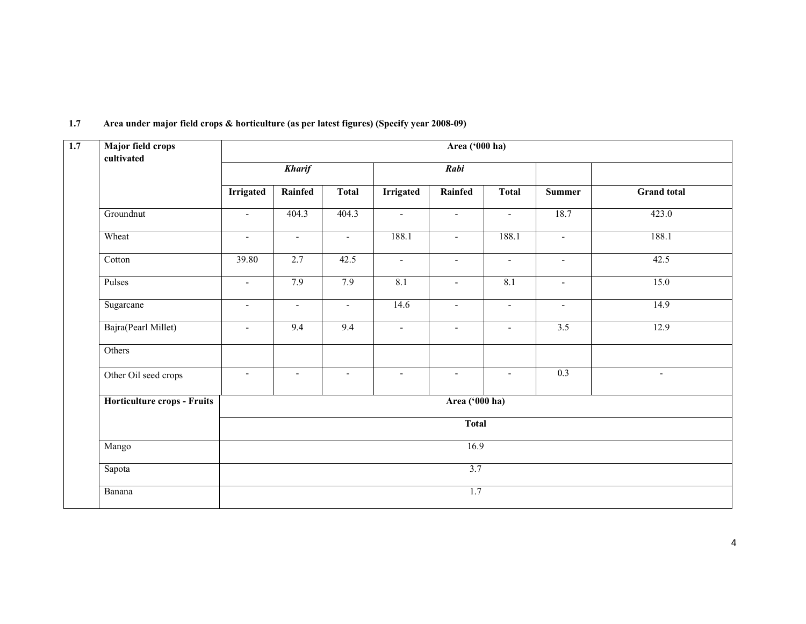| <b>Major field crops</b><br>cultivated |                          |                          |                          |                  | Area ('000 ha)           |                          |                          |                    |  |  |
|----------------------------------------|--------------------------|--------------------------|--------------------------|------------------|--------------------------|--------------------------|--------------------------|--------------------|--|--|
|                                        |                          | <b>Kharif</b>            |                          |                  | Rabi                     |                          |                          |                    |  |  |
|                                        | <b>Irrigated</b>         | Rainfed                  | <b>Total</b>             | <b>Irrigated</b> | Rainfed                  | <b>Total</b>             | <b>Summer</b>            | <b>Grand</b> total |  |  |
| Groundnut                              | $\blacksquare$           | 404.3                    | 404.3                    | $\sim$           | $\overline{\phantom{a}}$ | $\sim$                   | 18.7                     | 423.0              |  |  |
| Wheat                                  | $\blacksquare$           | $\blacksquare$           | $\blacksquare$           | 188.1            | $\overline{\phantom{a}}$ | 188.1                    | $\blacksquare$           | 188.1              |  |  |
| Cotton                                 | 39.80                    | 2.7                      | 42.5                     | $\blacksquare$   | $\overline{\phantom{a}}$ | $\overline{\phantom{a}}$ | $\overline{\phantom{a}}$ | 42.5               |  |  |
| Pulses                                 | $\blacksquare$           | 7.9                      | 7.9                      | 8.1              | $\blacksquare$           | 8.1                      | $\blacksquare$           | 15.0               |  |  |
| Sugarcane                              | $\overline{\phantom{a}}$ | $\blacksquare$           | $\blacksquare$           | 14.6             | $\overline{\phantom{a}}$ | $\overline{\phantom{a}}$ | $\overline{\phantom{a}}$ | 14.9               |  |  |
| Bajra(Pearl Millet)                    | $\blacksquare$           | 9.4                      | 9.4                      | $\blacksquare$   | $\overline{\phantom{a}}$ | $\blacksquare$           | 3.5                      | 12.9               |  |  |
| Others                                 |                          |                          |                          |                  |                          |                          |                          |                    |  |  |
| Other Oil seed crops                   | $\blacksquare$           | $\overline{\phantom{a}}$ | $\overline{\phantom{a}}$ | $\blacksquare$   | $\overline{\phantom{a}}$ | $\blacksquare$           | 0.3                      | $\blacksquare$     |  |  |
| Horticulture crops - Fruits            | Area ('000 ha)           |                          |                          |                  |                          |                          |                          |                    |  |  |
|                                        |                          | <b>Total</b>             |                          |                  |                          |                          |                          |                    |  |  |
| Mango                                  |                          |                          |                          |                  | 16.9                     |                          |                          |                    |  |  |
| Sapota                                 |                          |                          |                          |                  | $\overline{3.7}$         |                          |                          |                    |  |  |
| Banana                                 |                          |                          |                          |                  | 1.7                      |                          |                          |                    |  |  |

#### 1.7 Area under major field crops & horticulture (as per latest figures) (Specify year 2008-09)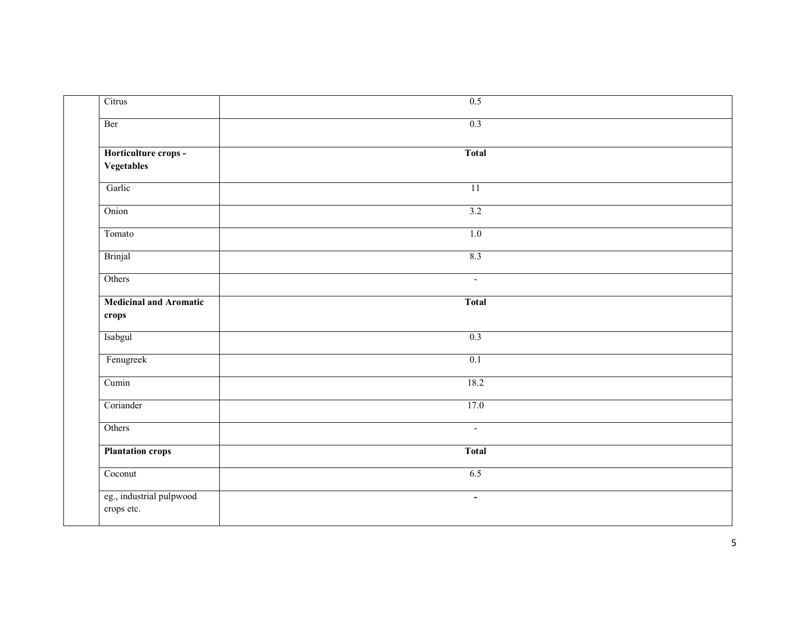| Citrus                                 | 0.5             |
|----------------------------------------|-----------------|
| Ber                                    | 0.3             |
| Horticulture crops -<br>Vegetables     | <b>Total</b>    |
| Garlic                                 | $\overline{11}$ |
| Onion                                  | 3.2             |
| Tomato                                 | 1.0             |
| Brinjal                                | 8.3             |
| Others                                 | $\sim$          |
| <b>Medicinal and Aromatic</b><br>crops | <b>Total</b>    |
| Isabgul                                | 0.3             |
| Fenugreek                              | 0.1             |
| Cumin                                  | 18.2            |
| Coriander                              | 17.0            |
| Others                                 | $\sim$          |
| <b>Plantation crops</b>                | <b>Total</b>    |
| Coconut                                | 6.5             |
| eg., industrial pulpwood<br>crops etc. | $\omega$        |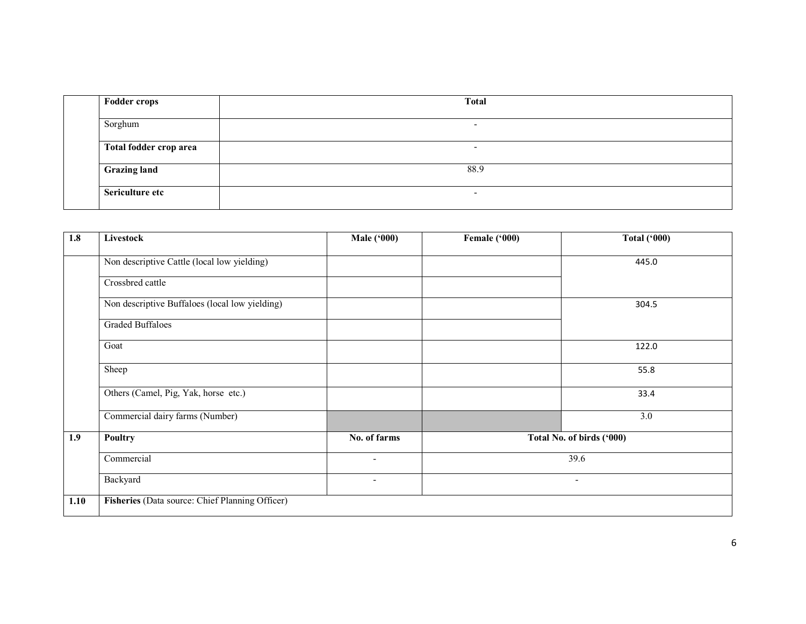| <b>Fodder crops</b>    | <b>Total</b>             |
|------------------------|--------------------------|
| Sorghum                | $\overline{\phantom{0}}$ |
| Total fodder crop area | $\overline{\phantom{0}}$ |
| <b>Grazing land</b>    | 88.9                     |
| Sericulture etc        | -                        |

| 1.8  | Livestock                                       | <b>Male ('000)</b> | Female ('000) | <b>Total ('000)</b>       |
|------|-------------------------------------------------|--------------------|---------------|---------------------------|
|      | Non descriptive Cattle (local low yielding)     |                    |               | 445.0                     |
|      | Crossbred cattle                                |                    |               |                           |
|      | Non descriptive Buffaloes (local low yielding)  |                    |               | 304.5                     |
|      | <b>Graded Buffaloes</b>                         |                    |               |                           |
|      | Goat                                            |                    |               | 122.0                     |
|      | Sheep                                           |                    |               | 55.8                      |
|      | Others (Camel, Pig, Yak, horse etc.)            |                    |               | 33.4                      |
|      | Commercial dairy farms (Number)                 |                    |               | 3.0                       |
| 1.9  | <b>Poultry</b>                                  | No. of farms       |               | Total No. of birds ('000) |
|      | Commercial                                      | $\blacksquare$     |               | 39.6                      |
|      | Backyard                                        | $\sim$             |               | $\overline{\phantom{a}}$  |
| 1.10 | Fisheries (Data source: Chief Planning Officer) |                    |               |                           |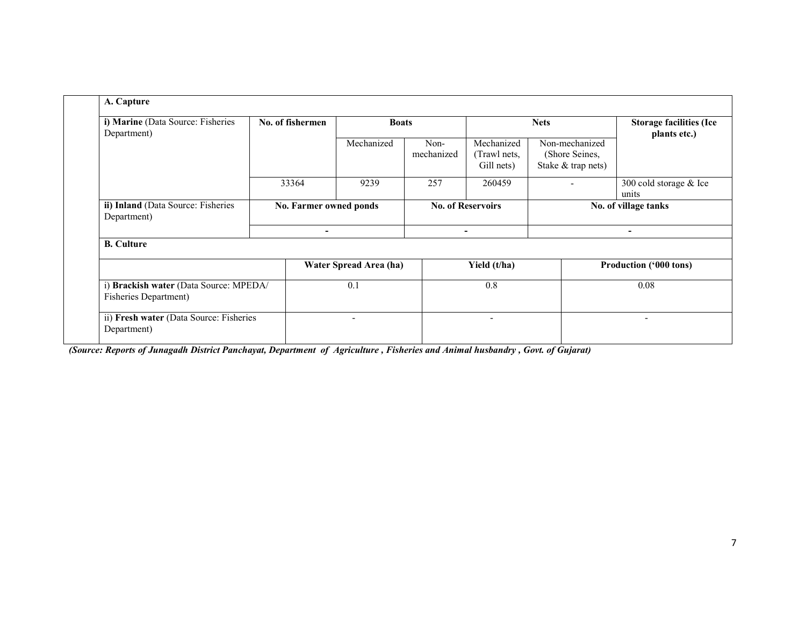| i) Marine (Data Source: Fisheries<br>Department)                | No. of fishermen | <b>Boats</b>                    |                    |                                          | <b>Storage facilities (Ice</b><br>plants etc.)         |                                 |  |
|-----------------------------------------------------------------|------------------|---------------------------------|--------------------|------------------------------------------|--------------------------------------------------------|---------------------------------|--|
|                                                                 |                  | Mechanized                      | Non-<br>mechanized | Mechanized<br>(Trawl nets,<br>Gill nets) | Non-mechanized<br>(Shore Seines,<br>Stake & trap nets) |                                 |  |
|                                                                 | 33364            | 9239                            | 257                | 260459                                   |                                                        | 300 cold storage & Ice<br>units |  |
| ii) Inland (Data Source: Fisheries<br>Department)               |                  | No. Farmer owned ponds          |                    | <b>No. of Reservoirs</b>                 |                                                        | No. of village tanks            |  |
| <b>B.</b> Culture                                               | $\blacksquare$   |                                 |                    | ۰                                        |                                                        | $\overline{\phantom{0}}$        |  |
|                                                                 |                  |                                 |                    |                                          |                                                        |                                 |  |
|                                                                 |                  | Water Spread Area (ha)          |                    | Yield (t/ha)                             |                                                        | Production ('000 tons)          |  |
| i) Brackish water (Data Source: MPEDA/<br>Fisheries Department) |                  | 0.1<br>$\overline{\phantom{a}}$ |                    | 0.8                                      |                                                        | 0.08                            |  |
| ii) Fresh water (Data Source: Fisheries                         |                  |                                 |                    |                                          |                                                        | ۰                               |  |

(Source: Reports of Junagadh District Panchayat, Department of Agriculture , Fisheries and Animal husbandry , Govt. of Gujarat)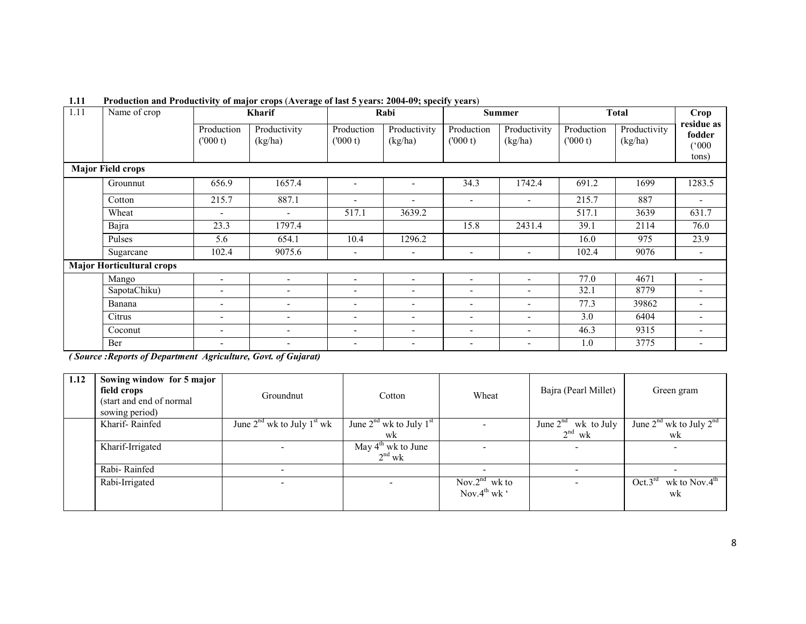| 1.11 | Name of crop                     |                          | $\bullet$<br><b>Kharif</b> |                              | Rabi                     | <b>Summer</b>            |                          |                       | Total                   | Crop                          |
|------|----------------------------------|--------------------------|----------------------------|------------------------------|--------------------------|--------------------------|--------------------------|-----------------------|-------------------------|-------------------------------|
|      |                                  | Production<br>(000 t)    | Productivity<br>(kg/ha)    | Production<br>(000 t)        | Productivity<br>(kg/ha)  | Production<br>(000 t)    | Productivity<br>(kg/ha)  | Production<br>(000 t) | Productivity<br>(kg/ha) | residue as<br>fodder<br>(000) |
|      |                                  |                          |                            |                              |                          |                          |                          |                       |                         | tons)                         |
|      | <b>Major Field crops</b>         |                          |                            |                              |                          |                          |                          |                       |                         |                               |
|      | Grounnut                         | 656.9                    | 1657.4                     | $\blacksquare$               | $\blacksquare$           | 34.3                     | 1742.4                   | 691.2                 | 1699                    | 1283.5                        |
|      | Cotton                           | 215.7                    | 887.1                      | $\overline{\phantom{a}}$     | $\overline{\phantom{a}}$ | $\overline{\phantom{a}}$ | $\overline{\phantom{a}}$ | 215.7                 | 887                     | $\overline{\phantom{a}}$      |
|      | Wheat                            | $\overline{\phantom{a}}$ | $\overline{\phantom{0}}$   | 517.1                        | 3639.2                   |                          |                          | 517.1                 | 3639                    | 631.7                         |
|      | Bajra                            | 23.3                     | 1797.4                     |                              |                          | 15.8                     | 2431.4                   | 39.1                  | 2114                    | 76.0                          |
|      | Pulses                           | 5.6                      | 654.1                      | 10.4                         | 1296.2                   |                          |                          | 16.0                  | 975                     | 23.9                          |
|      | Sugarcane                        | 102.4                    | 9075.6                     | $\overline{\phantom{a}}$     | $\overline{\phantom{a}}$ | $\overline{\phantom{0}}$ | ٠                        | 102.4                 | 9076                    | $\overline{\phantom{a}}$      |
|      | <b>Major Horticultural crops</b> |                          |                            |                              |                          |                          |                          |                       |                         |                               |
|      | Mango                            | $\overline{\phantom{a}}$ | $\overline{a}$             | $\overline{a}$               | $\overline{a}$           | $\overline{\phantom{0}}$ | $\sim$                   | 77.0                  | 4671                    |                               |
|      | SapotaChiku)                     | $\overline{\phantom{a}}$ | $\overline{\phantom{a}}$   | $\qquad \qquad \blacksquare$ | $\overline{a}$           | $\overline{a}$           | $\overline{\phantom{0}}$ | 32.1                  | 8779                    |                               |
|      | Banana                           | $\overline{\phantom{a}}$ | $\overline{\phantom{a}}$   | $\overline{\phantom{a}}$     | $\overline{\phantom{0}}$ | -                        | $\overline{\phantom{0}}$ | 77.3                  | 39862                   |                               |
|      | Citrus                           | $\overline{\phantom{a}}$ | $\overline{\phantom{a}}$   | $\qquad \qquad -$            | $\blacksquare$           | $\blacksquare$           | ۰                        | 3.0                   | 6404                    |                               |
|      | Coconut                          | $\overline{\phantom{a}}$ | $\overline{\phantom{0}}$   | $\overline{\phantom{0}}$     | $\blacksquare$           | $\overline{\phantom{a}}$ | ۰                        | 46.3                  | 9315                    |                               |
|      | Ber                              | $\overline{\phantom{a}}$ | $\overline{\phantom{0}}$   | $\qquad \qquad -$            | $\blacksquare$           | $\overline{\phantom{a}}$ | ۰                        | 1.0                   | 3775                    |                               |

#### 1.11 Production and Productivity of major crops (Average of last 5 years: 2004-09; specify years)

( Source :Reports of Department Agriculture, Govt. of Gujarat)

| 1.12 | Sowing window for 5 major<br>field crops<br>(start and end of normal)<br>sowing period) | Groundnut                      |                                            | Wheat                                                 | Bajra (Pearl Millet)     | Green gram                                 |
|------|-----------------------------------------------------------------------------------------|--------------------------------|--------------------------------------------|-------------------------------------------------------|--------------------------|--------------------------------------------|
|      | Kharif-Rainfed                                                                          | June $2nd$ wk to July $1st$ wk | June $2nd$ wk to July $1st$                |                                                       | June $2^{nd}$ wk to July | June $2^{nd}$ wk to July $2^{nd}$          |
|      |                                                                                         |                                | wk                                         |                                                       | $2^{nd}$ wk              | wk                                         |
|      | Kharif-Irrigated                                                                        |                                | May $4^{\text{th}}$ wk to June<br>$2nd$ wk |                                                       |                          |                                            |
|      | Rabi-Rainfed                                                                            |                                |                                            |                                                       |                          |                                            |
|      | Rabi-Irrigated                                                                          |                                |                                            | Nov.2 <sup>nd</sup> wk to<br>Nov. $4^{th}$ wk $\cdot$ |                          | Oct.3 <sup>rd</sup><br>wk to Nov.4th<br>wk |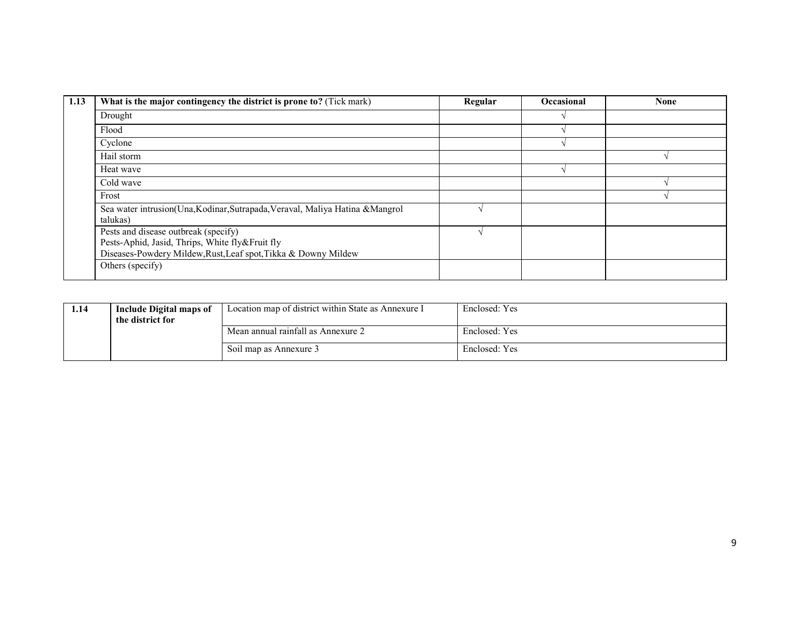| 1.13 | What is the major contingency the district is prone to? (Tick mark)                   | Regular | <b>Occasional</b> | <b>None</b> |
|------|---------------------------------------------------------------------------------------|---------|-------------------|-------------|
|      | Drought                                                                               |         |                   |             |
|      | Flood                                                                                 |         |                   |             |
|      | Cyclone                                                                               |         |                   |             |
|      | Hail storm                                                                            |         |                   |             |
|      | Heat wave                                                                             |         |                   |             |
|      | Cold wave                                                                             |         |                   |             |
|      | Frost                                                                                 |         |                   |             |
|      | Sea water intrusion(Una,Kodinar,Sutrapada,Veraval, Maliya Hatina &Mangrol<br>talukas) |         |                   |             |
|      | Pests and disease outbreak (specify)                                                  |         |                   |             |
|      | Pests-Aphid, Jasid, Thrips, White fly&Fruit fly                                       |         |                   |             |
|      | Diseases-Powdery Mildew, Rust, Leaf spot, Tikka & Downy Mildew                        |         |                   |             |
|      | Others (specify)                                                                      |         |                   |             |

| 1.14 | Include Digital maps of<br>the district for | Location map of district within State as Annexure I | Enclosed: Yes |
|------|---------------------------------------------|-----------------------------------------------------|---------------|
|      |                                             | Mean annual rainfall as Annexure 2                  | Enclosed: Yes |
|      |                                             | Soil map as Annexure 3                              | Enclosed: Yes |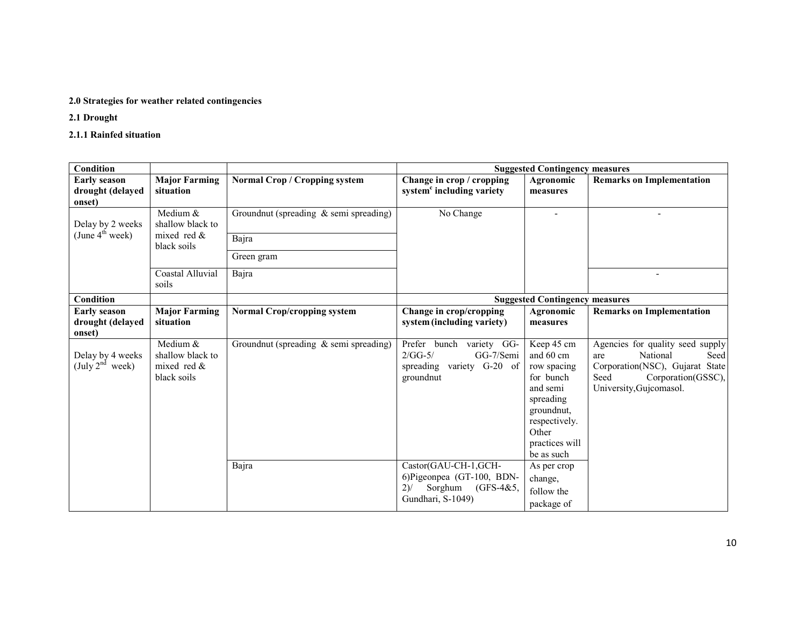#### 2.0 Strategies for weather related contingencies

2.1 Drought

2.1.1 Rainfed situation

| <b>Condition</b><br><b>Suggested Contingency measures</b> |                                                               |                                                 |                                                                                                                      |                                                                                                                                                                     |                                                                                                                                                         |
|-----------------------------------------------------------|---------------------------------------------------------------|-------------------------------------------------|----------------------------------------------------------------------------------------------------------------------|---------------------------------------------------------------------------------------------------------------------------------------------------------------------|---------------------------------------------------------------------------------------------------------------------------------------------------------|
| <b>Early season</b><br>drought (delayed<br>onset)         | <b>Major Farming</b><br>situation                             | Normal Crop / Cropping system                   | Change in crop / cropping<br>system <sup>c</sup> including variety                                                   | Agronomic<br>measures                                                                                                                                               | <b>Remarks on Implementation</b>                                                                                                                        |
| Delay by 2 weeks                                          | Medium &<br>shallow black to                                  | Groundnut (spreading $\&$ semi spreading)       | No Change                                                                                                            |                                                                                                                                                                     |                                                                                                                                                         |
| (June $4^{\text{th}}$ week)                               | mixed red $\&$<br>black soils                                 | Bajra                                           |                                                                                                                      |                                                                                                                                                                     |                                                                                                                                                         |
|                                                           |                                                               | Green gram                                      |                                                                                                                      |                                                                                                                                                                     |                                                                                                                                                         |
|                                                           | Coastal Alluvial<br>soils                                     | Bajra                                           |                                                                                                                      |                                                                                                                                                                     | $\overline{\phantom{a}}$                                                                                                                                |
| Condition                                                 |                                                               |                                                 |                                                                                                                      | <b>Suggested Contingency measures</b>                                                                                                                               |                                                                                                                                                         |
| <b>Early season</b><br>drought (delayed<br>onset)         | <b>Major Farming</b><br>situation                             | <b>Normal Crop/cropping system</b>              | Change in crop/cropping<br>system (including variety)                                                                | Agronomic<br>measures                                                                                                                                               | <b>Remarks on Implementation</b>                                                                                                                        |
| Delay by 4 weeks<br>(July $2^{nd}$ week)                  | Medium &<br>shallow black to<br>mixed red $\&$<br>black soils | Groundnut (spreading & semi spreading)<br>Bajra | Prefer bunch variety GG-<br>$2/GG-5/$<br>GG-7/Semi<br>spreading variety G-20 of<br>groundnut<br>Castor(GAU-CH-1,GCH- | Keep 45 cm<br>and 60 cm<br>row spacing<br>for bunch<br>and semi<br>spreading<br>groundnut,<br>respectively.<br>Other<br>practices will<br>be as such<br>As per crop | Agencies for quality seed supply<br>National<br>Seed<br>are<br>Corporation(NSC), Gujarat State<br>Seed<br>Corporation(GSSC),<br>University, Gujcomasol. |
|                                                           |                                                               |                                                 | 6)Pigeonpea (GT-100, BDN-<br>Sorghum<br>$(GFS-4&5,$<br>$2)$ /<br>Gundhari, S-1049)                                   | change,<br>follow the<br>package of                                                                                                                                 |                                                                                                                                                         |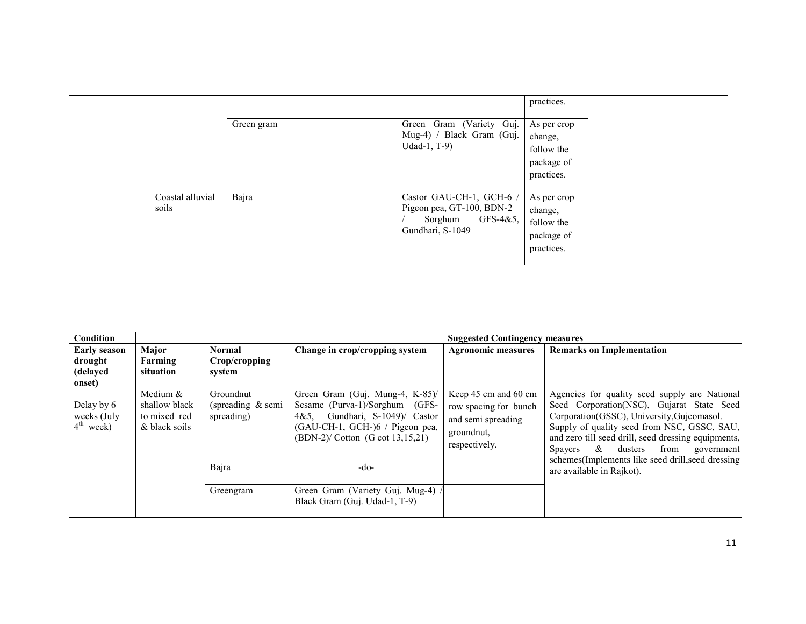|                           |            |                                                                                                     | practices.                                                       |
|---------------------------|------------|-----------------------------------------------------------------------------------------------------|------------------------------------------------------------------|
|                           | Green gram | Green Gram (Variety Guj.<br>Mug-4) / Black Gram (Guj.<br>Udad-1, $T-9$ )                            | As per crop<br>change,<br>follow the<br>package of<br>practices. |
| Coastal alluvial<br>soils | Bajra      | Castor GAU-CH-1, GCH-6 /<br>Pigeon pea, GT-100, BDN-2<br>$GFS-4&5$ ,<br>Sorghum<br>Gundhari, S-1049 | As per crop<br>change,<br>follow the<br>package of<br>practices. |

| Condition                                            |                                                              |                                                 | <b>Suggested Contingency measures</b>                                                                                                                                              |                                                                                                    |                                                                                                                                                                                                                                                                                                                                                            |  |  |
|------------------------------------------------------|--------------------------------------------------------------|-------------------------------------------------|------------------------------------------------------------------------------------------------------------------------------------------------------------------------------------|----------------------------------------------------------------------------------------------------|------------------------------------------------------------------------------------------------------------------------------------------------------------------------------------------------------------------------------------------------------------------------------------------------------------------------------------------------------------|--|--|
| <b>Early season</b><br>drought<br>(delayed<br>onset) | Major<br>Farming<br>situation                                | <b>Normal</b><br>Crop/cropping<br>system        | Change in crop/cropping system                                                                                                                                                     | <b>Agronomic measures</b>                                                                          | <b>Remarks on Implementation</b>                                                                                                                                                                                                                                                                                                                           |  |  |
| Delay by 6<br>weeks (July<br>$4^{\text{th}}$ week)   | Medium $&$<br>shallow black<br>to mixed red<br>& black soils | Groundnut<br>(spreading $\&$ semi<br>spreading) | Green Gram (Guj. Mung-4, K-85)/<br>Sesame (Purva-1)/Sorghum (GFS-<br>Gundhari, S-1049)/ Castor<br>4&5.<br>(GAU-CH-1, GCH-)6 / Pigeon pea,<br>$(BDN-2)/$ Cotton $(G \cot 13.15.21)$ | Keep 45 cm and 60 cm<br>row spacing for bunch<br>and semi spreading<br>groundnut,<br>respectively. | Agencies for quality seed supply are National<br>Seed Corporation (NSC), Gujarat State Seed<br>Corporation(GSSC), University, Gujcomasol.<br>Supply of quality seed from NSC, GSSC, SAU,<br>and zero till seed drill, seed dressing equipments,<br>dusters from<br>$\alpha$<br>Spayers<br>government<br>schemes(Implements like seed drill, seed dressing) |  |  |
|                                                      |                                                              | Bajra                                           | $-do-$                                                                                                                                                                             |                                                                                                    | are available in Rajkot).                                                                                                                                                                                                                                                                                                                                  |  |  |
|                                                      |                                                              | Greengram                                       | Green Gram (Variety Guj. Mug-4)<br>Black Gram (Guj. Udad-1, T-9)                                                                                                                   |                                                                                                    |                                                                                                                                                                                                                                                                                                                                                            |  |  |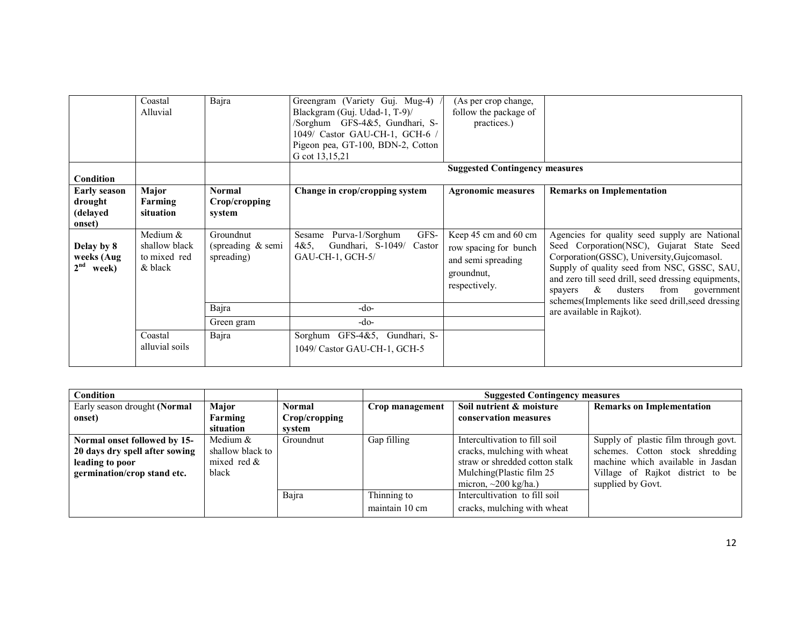|                                                      | Coastal<br>Alluvial                                  | Bajra                                        | Greengram (Variety Guj. Mug-4)<br>Blackgram (Guj. Udad-1, T-9)/<br>/Sorghum GFS-4&5, Gundhari, S-<br>1049/ Castor GAU-CH-1, GCH-6 /<br>Pigeon pea, GT-100, BDN-2, Cotton<br>G cot 13,15,21 | (As per crop change,<br>follow the package of<br>practices.)                                        |                                                                                                                                                                                                                                                                                                                                                         |
|------------------------------------------------------|------------------------------------------------------|----------------------------------------------|--------------------------------------------------------------------------------------------------------------------------------------------------------------------------------------------|-----------------------------------------------------------------------------------------------------|---------------------------------------------------------------------------------------------------------------------------------------------------------------------------------------------------------------------------------------------------------------------------------------------------------------------------------------------------------|
| Condition                                            |                                                      |                                              |                                                                                                                                                                                            | <b>Suggested Contingency measures</b>                                                               |                                                                                                                                                                                                                                                                                                                                                         |
| <b>Early season</b><br>drought<br>(delayed<br>onset) | Major<br>Farming<br>situation                        | Normal<br>Crop/cropping<br>system            | Change in crop/cropping system                                                                                                                                                             | <b>Agronomic measures</b>                                                                           | <b>Remarks on Implementation</b>                                                                                                                                                                                                                                                                                                                        |
| Delay by 8<br>weeks (Aug<br>2 <sup>nd</sup><br>week) | Medium &<br>shallow black<br>to mixed red<br>& black | Groundnut<br>(spreading & semi<br>spreading) | Sesame Purva-1/Sorghum<br>GFS-<br>Gundhari, S-1049/<br>4&5.<br>Castor<br>GAU-CH-1, GCH-5/                                                                                                  | Keep 45 cm and 60 cm<br>row spacing for bunch<br>and semi spreading<br>ground nut,<br>respectively. | Agencies for quality seed supply are National<br>Seed Corporation(NSC), Gujarat State Seed<br>Corporation(GSSC), University, Gujcomasol.<br>Supply of quality seed from NSC, GSSC, SAU,<br>and zero till seed drill, seed dressing equipments,<br>$\&$<br>dusters<br>from<br>government<br>spayers<br>schemes(Implements like seed drill, seed dressing |
|                                                      |                                                      | Bajra                                        | $-do-$                                                                                                                                                                                     |                                                                                                     | are available in Rajkot).                                                                                                                                                                                                                                                                                                                               |
|                                                      |                                                      | Green gram                                   | $-do-$                                                                                                                                                                                     |                                                                                                     |                                                                                                                                                                                                                                                                                                                                                         |
|                                                      | Coastal<br>alluvial soils                            | Bajra                                        | Sorghum GFS-4&5, Gundhari, S-<br>1049/ Castor GAU-CH-1, GCH-5                                                                                                                              |                                                                                                     |                                                                                                                                                                                                                                                                                                                                                         |

| Condition                      |                  |               |                 | <b>Suggested Contingency measures</b> |                                      |  |  |
|--------------------------------|------------------|---------------|-----------------|---------------------------------------|--------------------------------------|--|--|
| Early season drought (Normal   | Major            | <b>Normal</b> | Crop management | Soil nutrient & moisture              | <b>Remarks on Implementation</b>     |  |  |
| onset)                         | Farming          | Crop/cropping |                 | conservation measures                 |                                      |  |  |
|                                | situation        | system        |                 |                                       |                                      |  |  |
| Normal onset followed by 15-   | Medium $&$       | Groundnut     | Gap filling     | Intercultivation to fill soil         | Supply of plastic film through govt. |  |  |
| 20 days dry spell after sowing | shallow black to |               |                 | cracks, mulching with wheat           | schemes. Cotton stock shredding      |  |  |
| leading to poor                | mixed red $\&$   |               |                 | straw or shredded cotton stalk        | machine which available in Jasdan    |  |  |
| germination/crop stand etc.    | black            |               |                 | Mulching(Plastic film 25              | Village of Rajkot district to be     |  |  |
|                                |                  |               |                 | micron, $\sim$ 200 kg/ha.)            | supplied by Govt.                    |  |  |
|                                |                  | Bajra         | Thinning to     | Intercultivation to fill soil         |                                      |  |  |
|                                |                  |               | maintain 10 cm  | cracks, mulching with wheat           |                                      |  |  |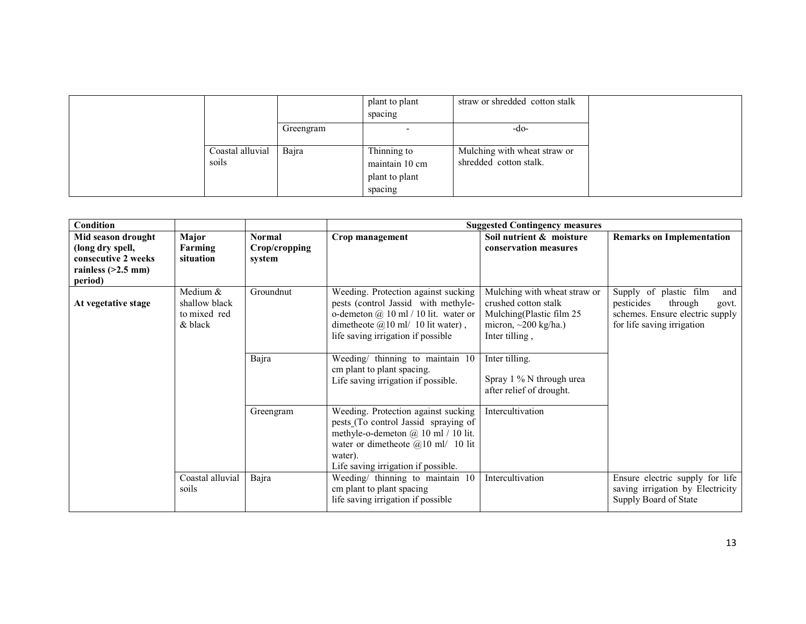|                  |           | plant to plant | straw or shredded cotton stalk |
|------------------|-----------|----------------|--------------------------------|
|                  |           | spacing        |                                |
|                  | Greengram |                | -do-                           |
|                  |           |                |                                |
| Coastal alluvial | Bajra     | Thinning to    | Mulching with wheat straw or   |
| soils            |           | maintain 10 cm | shredded cotton stalk.         |
|                  |           | plant to plant |                                |
|                  |           | spacing        |                                |

| <b>Condition</b>                                                                                 |                                                      |                                          |                                                                                                                                                                                                                   | <b>Suggested Contingency measures</b>                                                                                            |                                                                                                                                  |
|--------------------------------------------------------------------------------------------------|------------------------------------------------------|------------------------------------------|-------------------------------------------------------------------------------------------------------------------------------------------------------------------------------------------------------------------|----------------------------------------------------------------------------------------------------------------------------------|----------------------------------------------------------------------------------------------------------------------------------|
| Mid season drought<br>(long dry spell,<br>consecutive 2 weeks<br>rainless $(>2.5$ mm)<br>period) | Major<br>Farming<br>situation                        | <b>Normal</b><br>Crop/cropping<br>system | Crop management                                                                                                                                                                                                   | Soil nutrient & moisture<br>conservation measures                                                                                | <b>Remarks on Implementation</b>                                                                                                 |
| At vegetative stage                                                                              | Medium &<br>shallow black<br>to mixed red<br>& black | Groundnut                                | Weeding. Protection against sucking<br>pests (control Jassid with methyle-<br>o-demeton $(a)$ 10 ml / 10 lit. water or<br>dimetheote $\omega$ 10 ml/ 10 lit water),<br>life saving irrigation if possible         | Mulching with wheat straw or<br>crushed cotton stalk<br>Mulching(Plastic film 25<br>micron, $\sim$ 200 kg/ha.)<br>Inter tilling, | Supply of plastic film<br>and<br>pesticides<br>through<br>govt.<br>schemes. Ensure electric supply<br>for life saving irrigation |
|                                                                                                  |                                                      | Bajra                                    | Weeding/ thinning to maintain 10<br>cm plant to plant spacing.<br>Life saving irrigation if possible.                                                                                                             | Inter tilling.<br>Spray 1 % N through urea<br>after relief of drought.                                                           |                                                                                                                                  |
|                                                                                                  |                                                      | Greengram                                | Weeding. Protection against sucking<br>pests (To control Jassid spraying of<br>methyle-o-demeton $@$ 10 ml / 10 lit.<br>water or dimetheote $(a)$ 10 ml/ 10 lit<br>water).<br>Life saving irrigation if possible. | Intercultivation                                                                                                                 |                                                                                                                                  |
|                                                                                                  | Coastal alluvial<br>soils                            | Bajra                                    | Weeding/ thinning to maintain 10<br>cm plant to plant spacing<br>life saving irrigation if possible                                                                                                               | Intercultivation                                                                                                                 | Ensure electric supply for life<br>saving irrigation by Electricity<br>Supply Board of State                                     |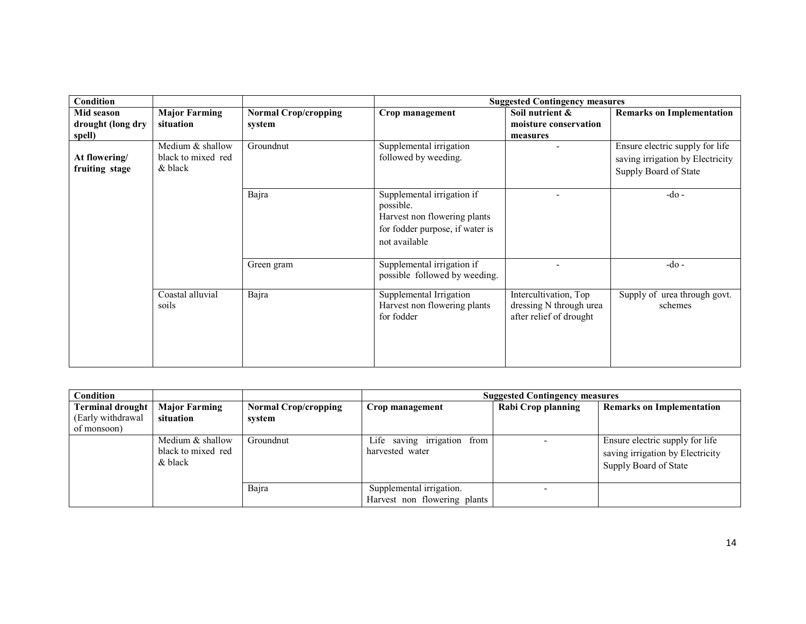| Condition                       |                                                   |                                       |                                                                                                                             | <b>Suggested Contingency measures</b>                                       |                                                                                              |
|---------------------------------|---------------------------------------------------|---------------------------------------|-----------------------------------------------------------------------------------------------------------------------------|-----------------------------------------------------------------------------|----------------------------------------------------------------------------------------------|
| Mid season<br>drought (long dry | <b>Major Farming</b><br>situation                 | <b>Normal Crop/cropping</b><br>system | Crop management                                                                                                             | Soil nutrient &<br>moisture conservation                                    | <b>Remarks on Implementation</b>                                                             |
| spell)                          |                                                   |                                       |                                                                                                                             | measures                                                                    |                                                                                              |
| At flowering/<br>fruiting stage | Medium & shallow<br>black to mixed red<br>& black | Groundnut                             | Supplemental irrigation<br>followed by weeding.                                                                             | $\overline{\phantom{a}}$                                                    | Ensure electric supply for life<br>saving irrigation by Electricity<br>Supply Board of State |
|                                 |                                                   | Bajra                                 | Supplemental irrigation if<br>possible.<br>Harvest non flowering plants<br>for fodder purpose, if water is<br>not available |                                                                             | $-do-$                                                                                       |
|                                 |                                                   | Green gram                            | Supplemental irrigation if<br>possible followed by weeding.                                                                 |                                                                             | $-do$ -                                                                                      |
|                                 | Coastal alluvial<br>soils                         | Bajra                                 | Supplemental Irrigation<br>Harvest non flowering plants<br>for fodder                                                       | Intercultivation, Top<br>dressing N through urea<br>after relief of drought | Supply of urea through govt.<br>schemes                                                      |

| Condition          |                                                     |                             | <b>Suggested Contingency measures</b>                    |                    |                                                                                              |  |
|--------------------|-----------------------------------------------------|-----------------------------|----------------------------------------------------------|--------------------|----------------------------------------------------------------------------------------------|--|
| Terminal drought   | <b>Major Farming</b>                                | <b>Normal Crop/cropping</b> | Crop management                                          | Rabi Crop planning | <b>Remarks on Implementation</b>                                                             |  |
| (Early withdrawal) | situation                                           | svstem                      |                                                          |                    |                                                                                              |  |
| of monsoon)        |                                                     |                             |                                                          |                    |                                                                                              |  |
|                    | Medium $&$ shallow<br>black to mixed red<br>& black | Groundnut                   | Life saving irrigation<br>from<br>harvested water        |                    | Ensure electric supply for life<br>saving irrigation by Electricity<br>Supply Board of State |  |
|                    |                                                     | Bajra                       | Supplemental irrigation.<br>Harvest non flowering plants |                    |                                                                                              |  |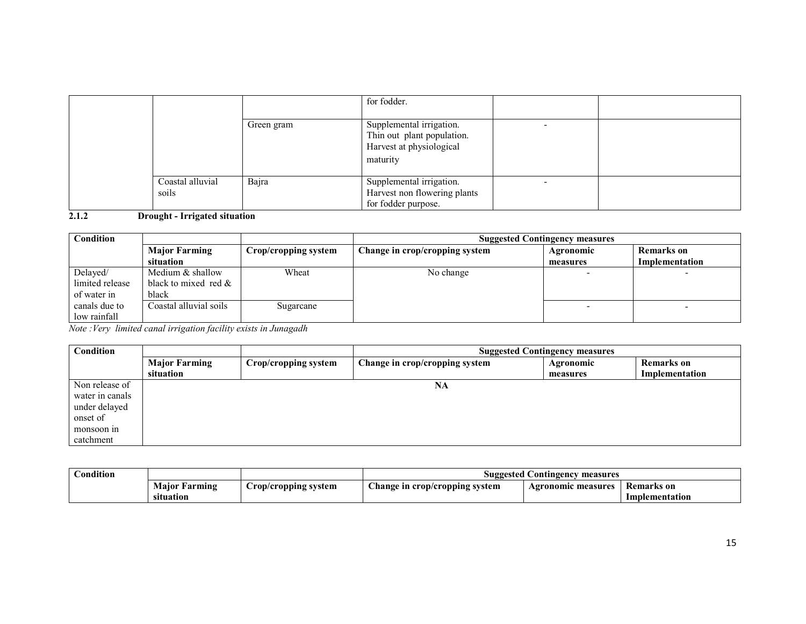|                           |            | for fodder.                                                                                    |  |
|---------------------------|------------|------------------------------------------------------------------------------------------------|--|
|                           | Green gram | Supplemental irrigation.<br>Thin out plant population.<br>Harvest at physiological<br>maturity |  |
| Coastal alluvial<br>soils | Bajra      | Supplemental irrigation.<br>Harvest non flowering plants<br>for fodder purpose.                |  |

2.1.2 Drought - Irrigated situation

| Condition       |                         | <b>Suggested Contingency measures</b> |                                |           |                |  |
|-----------------|-------------------------|---------------------------------------|--------------------------------|-----------|----------------|--|
|                 | <b>Major Farming</b>    | Crop/cropping system                  | Change in crop/cropping system | Agronomic | Remarks on     |  |
|                 | situation               |                                       |                                | measures  | Implementation |  |
| Delayed/        | Medium & shallow        | Wheat                                 | No change                      |           |                |  |
| limited release | black to mixed red $\&$ |                                       |                                |           |                |  |
| of water in     | black                   |                                       |                                |           |                |  |
| canals due to   | Coastal alluvial soils  | Sugarcane                             |                                |           |                |  |
| low rainfall    |                         |                                       |                                |           |                |  |

Note :Very limited canal irrigation facility exists in Junagadh

| Condition       |                      | <b>Suggested Contingency measures</b> |                                |           |                   |  |
|-----------------|----------------------|---------------------------------------|--------------------------------|-----------|-------------------|--|
|                 | <b>Major Farming</b> | Crop/cropping system                  | Change in crop/cropping system | Agronomic | <b>Remarks</b> on |  |
|                 | situation            |                                       |                                | measures  | Implementation    |  |
| Non release of  |                      |                                       | NA                             |           |                   |  |
| water in canals |                      |                                       |                                |           |                   |  |
| under delayed   |                      |                                       |                                |           |                   |  |
| onset of        |                      |                                       |                                |           |                   |  |
| monsoon in      |                      |                                       |                                |           |                   |  |
| catchment       |                      |                                       |                                |           |                   |  |

| ondition!<br>$\sim$ |                  |                      | Suggested Contingency measures |                    |                   |  |
|---------------------|------------------|----------------------|--------------------------------|--------------------|-------------------|--|
|                     | Maior<br>Farming | Crop/cropping system | Change in crop/cropping system | Agronomic measures | <b>Remarks</b> on |  |
|                     | situation        |                      |                                |                    | Implementation    |  |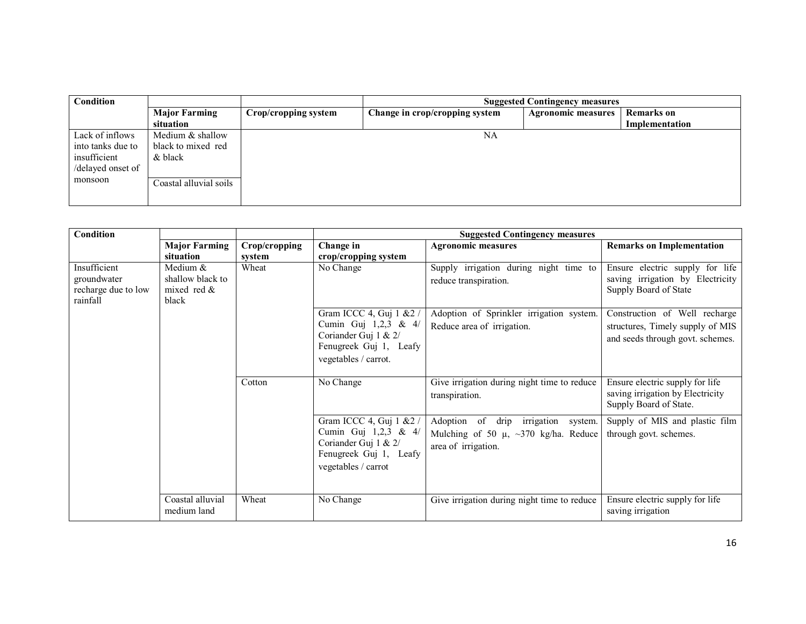| <b>Condition</b>  |                        |                      | <b>Suggested Contingency measures</b> |                           |                |  |
|-------------------|------------------------|----------------------|---------------------------------------|---------------------------|----------------|--|
|                   | <b>Major Farming</b>   | Crop/cropping system | Change in crop/cropping system        | <b>Agronomic measures</b> | Remarks on     |  |
|                   | situation              |                      |                                       |                           | Implementation |  |
| Lack of inflows   | Medium & shallow       |                      | NA                                    |                           |                |  |
| into tanks due to | black to mixed red     |                      |                                       |                           |                |  |
| insufficient      | & black                |                      |                                       |                           |                |  |
| /delayed onset of |                        |                      |                                       |                           |                |  |
| monsoon           | Coastal alluvial soils |                      |                                       |                           |                |  |
|                   |                        |                      |                                       |                           |                |  |

| Condition                                                      |                                                         |               | <b>Suggested Contingency measures</b>                                                                                        |                                                                                                               |                                                                                                       |  |
|----------------------------------------------------------------|---------------------------------------------------------|---------------|------------------------------------------------------------------------------------------------------------------------------|---------------------------------------------------------------------------------------------------------------|-------------------------------------------------------------------------------------------------------|--|
|                                                                | <b>Major Farming</b>                                    | Crop/cropping | Change in                                                                                                                    | <b>Agronomic measures</b>                                                                                     | <b>Remarks on Implementation</b>                                                                      |  |
|                                                                | situation                                               | system        | crop/cropping system                                                                                                         |                                                                                                               |                                                                                                       |  |
| Insufficient<br>groundwater<br>recharge due to low<br>rainfall | Medium &<br>shallow black to<br>mixed red $\&$<br>black | Wheat         | No Change                                                                                                                    | Supply irrigation during night time to<br>reduce transpiration.                                               | Ensure electric supply for life<br>saving irrigation by Electricity<br>Supply Board of State          |  |
|                                                                |                                                         |               | Gram ICCC 4, Guj 1 & 2 /<br>Cumin Guj 1,2,3 & 4/<br>Coriander Guj 1 & $2/$<br>Fenugreek Guj 1, Leafy<br>vegetables / carrot. | Adoption of Sprinkler irrigation system.<br>Reduce area of irrigation.                                        | Construction of Well recharge<br>structures, Timely supply of MIS<br>and seeds through govt. schemes. |  |
|                                                                |                                                         | Cotton        | No Change                                                                                                                    | Give irrigation during night time to reduce<br>transpiration.                                                 | Ensure electric supply for life<br>saving irrigation by Electricity<br>Supply Board of State.         |  |
|                                                                |                                                         |               | Gram ICCC 4, Guj 1 & 2 /<br>Cumin Guj 1,2,3 & 4/<br>Coriander Guj 1 & 2/<br>Fenugreek Guj 1, Leafy<br>vegetables / carrot    | Adoption of drip<br>irrigation<br>system.<br>Mulching of 50 $\mu$ , ~370 kg/ha. Reduce<br>area of irrigation. | Supply of MIS and plastic film<br>through govt. schemes.                                              |  |
|                                                                | Coastal alluvial<br>medium land                         | Wheat         | No Change                                                                                                                    | Give irrigation during night time to reduce                                                                   | Ensure electric supply for life<br>saving irrigation                                                  |  |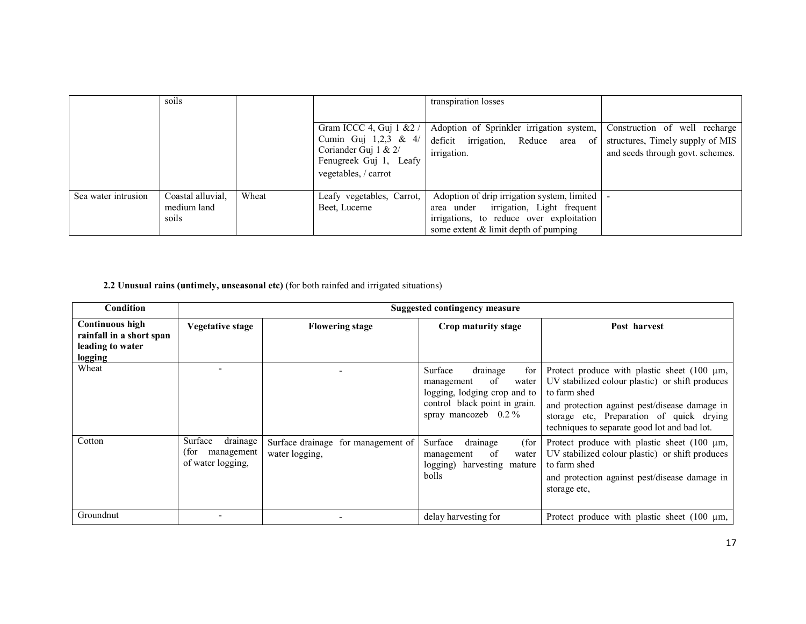|                     | soils                                     |       |                                                                                                                                | transpiration losses                                                                                                                                                        |                                                                   |
|---------------------|-------------------------------------------|-------|--------------------------------------------------------------------------------------------------------------------------------|-----------------------------------------------------------------------------------------------------------------------------------------------------------------------------|-------------------------------------------------------------------|
|                     |                                           |       | Gram ICCC 4, Guj 1 & 2 /<br>Cumin Guj $1,2,3 \& 4$<br>Coriander Guj $1 \& 2$<br>Fenugreek Guj 1, Leafy<br>vegetables, / carrot | Adoption of Sprinkler irrigation system,<br>deficit irrigation, Reduce area of structures, Timely supply of MIS<br>irrigation.                                              | Construction of well recharge<br>and seeds through govt. schemes. |
| Sea water intrusion | Coastal alluvial,<br>medium land<br>soils | Wheat | Leafy vegetables, Carrot,<br>Beet, Lucerne                                                                                     | Adoption of drip irrigation system, limited<br>area under irrigation, Light frequent<br>irrigations, to reduce over exploitation<br>some extent $\&$ limit depth of pumping |                                                                   |

#### 2.2 Unusual rains (untimely, unseasonal etc) (for both rainfed and irrigated situations)

| Condition                                                                         | <b>Suggested contingency measure</b>                            |                                                      |                                                                                                                                                             |                                                                                                                                                                                                                                                                  |  |  |
|-----------------------------------------------------------------------------------|-----------------------------------------------------------------|------------------------------------------------------|-------------------------------------------------------------------------------------------------------------------------------------------------------------|------------------------------------------------------------------------------------------------------------------------------------------------------------------------------------------------------------------------------------------------------------------|--|--|
| <b>Continuous high</b><br>rainfall in a short span<br>leading to water<br>logging | <b>Vegetative stage</b>                                         | <b>Flowering stage</b>                               | Crop maturity stage                                                                                                                                         | Post harvest                                                                                                                                                                                                                                                     |  |  |
| Wheat                                                                             |                                                                 |                                                      | for<br>Surface<br>drainage<br><sup>of</sup><br>water<br>management<br>logging, lodging crop and to<br>control black point in grain.<br>spray mancozeb 0.2 % | Protect produce with plastic sheet $(100 \mu m,$<br>UV stabilized colour plastic) or shift produces<br>to farm shed<br>and protection against pest/disease damage in<br>storage etc, Preparation of quick drying<br>techniques to separate good lot and bad lot. |  |  |
| Cotton                                                                            | drainage<br>Surface<br>(for-<br>management<br>of water logging, | Surface drainage for management of<br>water logging, | drainage<br>Surface<br>(for<br>of<br>water<br>management<br>logging) harvesting mature<br>bolls                                                             | Protect produce with plastic sheet $(100 \mu m,$<br>UV stabilized colour plastic) or shift produces<br>to farm shed<br>and protection against pest/disease damage in<br>storage etc.                                                                             |  |  |
| Groundnut                                                                         |                                                                 |                                                      | delay harvesting for                                                                                                                                        | Protect produce with plastic sheet $(100 \mu m,$                                                                                                                                                                                                                 |  |  |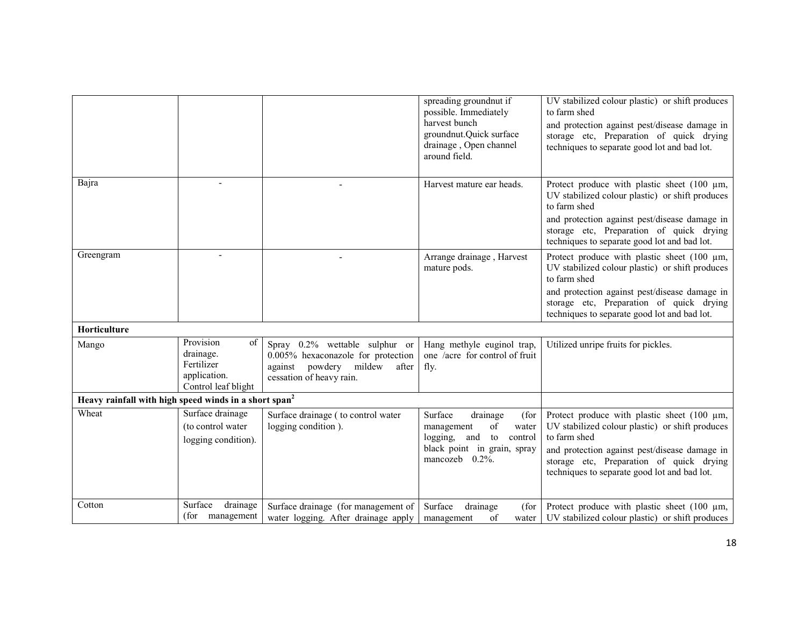|                                                                   |                                                                                   |                                                                                                                                     | spreading groundnut if<br>possible. Immediately<br>harvest bunch<br>groundnut.Quick surface<br>drainage, Open channel<br>around field.         | UV stabilized colour plastic) or shift produces<br>to farm shed<br>and protection against pest/disease damage in<br>storage etc, Preparation of quick drying<br>techniques to separate good lot and bad lot.                                                     |
|-------------------------------------------------------------------|-----------------------------------------------------------------------------------|-------------------------------------------------------------------------------------------------------------------------------------|------------------------------------------------------------------------------------------------------------------------------------------------|------------------------------------------------------------------------------------------------------------------------------------------------------------------------------------------------------------------------------------------------------------------|
| Bajra                                                             |                                                                                   |                                                                                                                                     | Harvest mature ear heads.                                                                                                                      | Protect produce with plastic sheet $(100 \mu m,$<br>UV stabilized colour plastic) or shift produces<br>to farm shed<br>and protection against pest/disease damage in<br>storage etc, Preparation of quick drying<br>techniques to separate good lot and bad lot. |
| Greengram                                                         |                                                                                   |                                                                                                                                     | Arrange drainage, Harvest<br>mature pods.                                                                                                      | Protect produce with plastic sheet $(100 \mu m,$<br>UV stabilized colour plastic) or shift produces<br>to farm shed<br>and protection against pest/disease damage in<br>storage etc, Preparation of quick drying<br>techniques to separate good lot and bad lot. |
| Horticulture                                                      |                                                                                   |                                                                                                                                     |                                                                                                                                                |                                                                                                                                                                                                                                                                  |
| Mango                                                             | Provision<br>of<br>drainage.<br>Fertilizer<br>application.<br>Control leaf blight | Spray 0.2% wettable sulphur or<br>0.005% hexaconazole for protection<br>against powdery mildew<br>after<br>cessation of heavy rain. | Hang methyle euginol trap,<br>one /acre for control of fruit<br>fly.                                                                           | Utilized unripe fruits for pickles.                                                                                                                                                                                                                              |
| Heavy rainfall with high speed winds in a short span <sup>2</sup> |                                                                                   |                                                                                                                                     |                                                                                                                                                |                                                                                                                                                                                                                                                                  |
| Wheat                                                             | Surface drainage<br>(to control water<br>logging condition).                      | Surface drainage (to control water<br>logging condition).                                                                           | Surface<br>drainage<br>(for<br>of<br>water<br>management<br>logging,<br>and to<br>control<br>black point in grain, spray<br>mancozeb $0.2\%$ . | Protect produce with plastic sheet $(100 \mu m,$<br>UV stabilized colour plastic) or shift produces<br>to farm shed<br>and protection against pest/disease damage in<br>storage etc, Preparation of quick drying<br>techniques to separate good lot and bad lot. |
| Cotton                                                            | Surface<br>drainage<br>(for management                                            | Surface drainage (for management of<br>water logging. After drainage apply                                                          | Surface<br>drainage<br>(for<br>of<br>management<br>water                                                                                       | Protect produce with plastic sheet $(100 \mu m,$<br>UV stabilized colour plastic) or shift produces                                                                                                                                                              |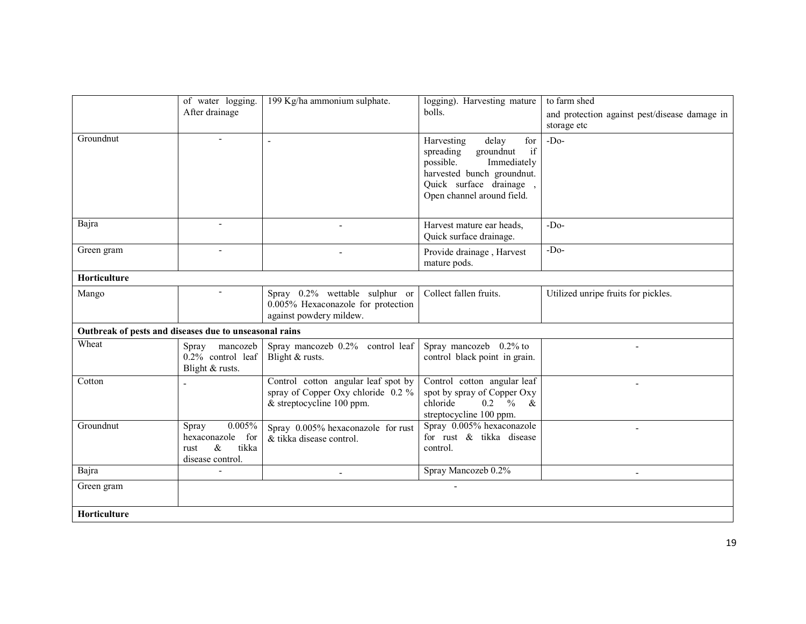| Groundnut                                              | of water logging.<br>After drainage                                                 | 199 Kg/ha ammonium sulphate.                                                                           | logging). Harvesting mature<br>bolls.<br>for<br>Harvesting<br>delay<br>if<br>spreading<br>groundnut<br>possible.<br>Immediately<br>harvested bunch groundnut.<br>Quick surface drainage,<br>Open channel around field. | to farm shed<br>and protection against pest/disease damage in<br>storage etc<br>$-Do-$ |
|--------------------------------------------------------|-------------------------------------------------------------------------------------|--------------------------------------------------------------------------------------------------------|------------------------------------------------------------------------------------------------------------------------------------------------------------------------------------------------------------------------|----------------------------------------------------------------------------------------|
| Bajra                                                  | $\overline{\phantom{a}}$                                                            |                                                                                                        | Harvest mature ear heads.<br>Quick surface drainage.                                                                                                                                                                   | $-Do$                                                                                  |
| Green gram                                             |                                                                                     |                                                                                                        | Provide drainage, Harvest<br>mature pods.                                                                                                                                                                              | $-Do-$                                                                                 |
| Horticulture                                           |                                                                                     |                                                                                                        |                                                                                                                                                                                                                        |                                                                                        |
| Mango                                                  |                                                                                     | Spray 0.2% wettable sulphur or<br>0.005% Hexaconazole for protection<br>against powdery mildew.        | Collect fallen fruits.                                                                                                                                                                                                 | Utilized unripe fruits for pickles.                                                    |
| Outbreak of pests and diseases due to unseasonal rains |                                                                                     |                                                                                                        |                                                                                                                                                                                                                        |                                                                                        |
| Wheat                                                  | Spray mancozeb<br>0.2% control leaf<br>Blight & rusts.                              | Spray mancozeb 0.2% control leaf<br>Blight & rusts.                                                    | Spray mancozeb 0.2% to<br>control black point in grain.                                                                                                                                                                |                                                                                        |
| Cotton                                                 |                                                                                     | Control cotton angular leaf spot by<br>spray of Copper Oxy chloride 0.2 %<br>& streptocycline 100 ppm. | Control cotton angular leaf<br>spot by spray of Copper Oxy<br>chloride<br>$0.2 \frac{9}{6}$ &<br>streptocycline 100 ppm.                                                                                               |                                                                                        |
| Groundnut                                              | 0.005%<br>Spray<br>hexaconazole<br>for<br>$\&$<br>tikka<br>rust<br>disease control. | Spray 0.005% hexaconazole for rust<br>& tikka disease control.                                         | Spray 0.005% hexaconazole<br>for rust & tikka disease<br>control.                                                                                                                                                      |                                                                                        |
| Bajra                                                  |                                                                                     |                                                                                                        | Spray Mancozeb 0.2%                                                                                                                                                                                                    |                                                                                        |
| Green gram                                             |                                                                                     |                                                                                                        |                                                                                                                                                                                                                        |                                                                                        |
| Horticulture                                           |                                                                                     |                                                                                                        |                                                                                                                                                                                                                        |                                                                                        |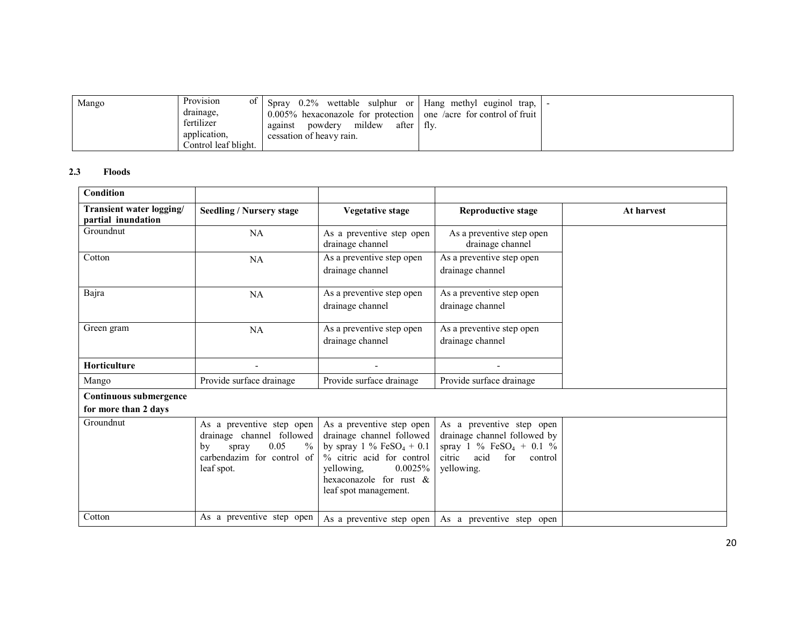| Mango | Provision<br>0Ī      | 0.2% wettable sulphur or Hang methyl euginol<br>Sprav  | trap. I                        |  |
|-------|----------------------|--------------------------------------------------------|--------------------------------|--|
|       | drainage,            | $0.005\%$ hexaconazole for protection                  | one /acre for control of fruit |  |
|       | fertilizer           | mildew<br>after $\parallel$ fly.<br>powdery<br>against |                                |  |
|       | application.         | cessation of heavy rain.                               |                                |  |
|       | Control leaf blight. |                                                        |                                |  |

#### 2.3 Floods

| <b>Condition</b>                               |                                                                                                                                   |                                                                                                                                                                                                    |                                                                                                                                           |            |
|------------------------------------------------|-----------------------------------------------------------------------------------------------------------------------------------|----------------------------------------------------------------------------------------------------------------------------------------------------------------------------------------------------|-------------------------------------------------------------------------------------------------------------------------------------------|------------|
| Transient water logging/<br>partial inundation | <b>Seedling / Nursery stage</b>                                                                                                   | <b>Vegetative stage</b>                                                                                                                                                                            | <b>Reproductive stage</b>                                                                                                                 | At harvest |
| Groundnut                                      | NA                                                                                                                                | As a preventive step open<br>drainage channel                                                                                                                                                      | As a preventive step open<br>drainage channel                                                                                             |            |
| Cotton                                         | NA                                                                                                                                | As a preventive step open<br>drainage channel                                                                                                                                                      | As a preventive step open<br>drainage channel                                                                                             |            |
| Bajra                                          | NA                                                                                                                                | As a preventive step open<br>drainage channel                                                                                                                                                      | As a preventive step open<br>drainage channel                                                                                             |            |
| Green gram                                     | NA                                                                                                                                | As a preventive step open<br>drainage channel                                                                                                                                                      | As a preventive step open<br>drainage channel                                                                                             |            |
| <b>Horticulture</b>                            |                                                                                                                                   |                                                                                                                                                                                                    |                                                                                                                                           |            |
| Mango                                          | Provide surface drainage                                                                                                          | Provide surface drainage                                                                                                                                                                           | Provide surface drainage                                                                                                                  |            |
| Continuous submergence<br>for more than 2 days |                                                                                                                                   |                                                                                                                                                                                                    |                                                                                                                                           |            |
| Groundnut                                      | As a preventive step open<br>drainage channel followed<br>0.05<br>$\%$<br>spray<br>by<br>carbendazim for control of<br>leaf spot. | As a preventive step open<br>drainage channel followed<br>by spray 1 % $FeSO_4 + 0.1$<br>% citric acid for control<br>0.0025%<br>vellowing.<br>hexaconazole for rust $\&$<br>leaf spot management. | As a preventive step open<br>drainage channel followed by<br>spray 1 % $FeSO_4 + 0.1$ %<br>acid<br>citric<br>for<br>control<br>yellowing. |            |
| Cotton                                         | As a preventive step open                                                                                                         | As a preventive step open                                                                                                                                                                          | As a preventive step open                                                                                                                 |            |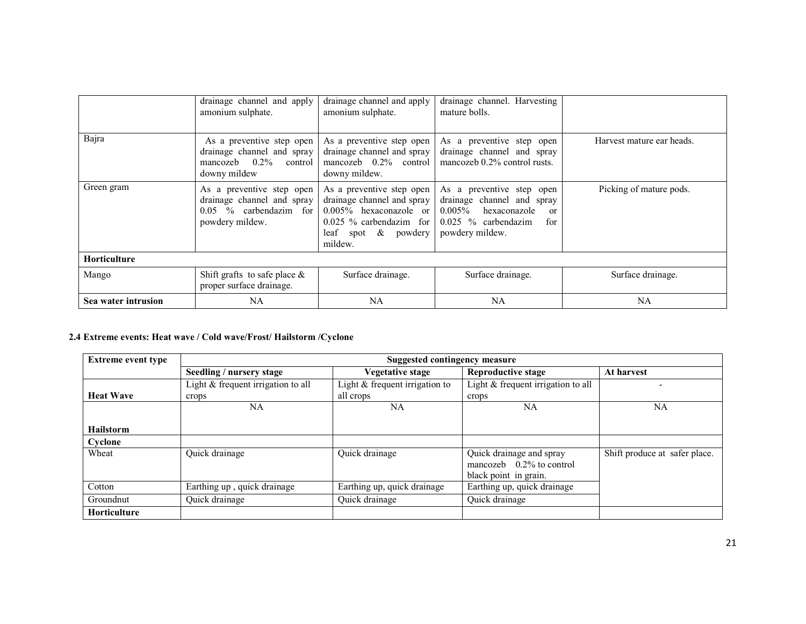|                     | drainage channel and apply<br>amonium sulphate.                                                        | drainage channel and apply<br>amonium sulphate.                                                                                                        | drainage channel. Harvesting<br>mature bolls.                                                                                                         |                           |  |  |  |
|---------------------|--------------------------------------------------------------------------------------------------------|--------------------------------------------------------------------------------------------------------------------------------------------------------|-------------------------------------------------------------------------------------------------------------------------------------------------------|---------------------------|--|--|--|
| Bajra               | As a preventive step open<br>drainage channel and spray<br>mancozeb $0.2\%$<br>control<br>downy mildew | As a preventive step open<br>drainage channel and spray<br>mancozeb $0.2\%$ control<br>downy mildew.                                                   | As a preventive step open<br>drainage channel and spray<br>mancozeb 0.2% control rusts.                                                               | Harvest mature ear heads. |  |  |  |
| Green gram          | As a preventive step open<br>drainage channel and spray<br>$0.05\%$ carbendazim for<br>powdery mildew. | As a preventive step open<br>drainage channel and spray<br>$0.005\%$ hexaconazole or<br>$0.025\%$ carbendazim for<br>leaf spot $\&$ powdery<br>mildew. | As a preventive step open<br>drainage channel and spray<br>$0.005\%$ hexaconazole<br><sub>or</sub><br>$0.025$ % carbendazim<br>for<br>powdery mildew. | Picking of mature pods.   |  |  |  |
| <b>Horticulture</b> |                                                                                                        |                                                                                                                                                        |                                                                                                                                                       |                           |  |  |  |
| Mango               | Shift grafts to safe place $\&$<br>proper surface drainage.                                            | Surface drainage.                                                                                                                                      | Surface drainage.                                                                                                                                     | Surface drainage.         |  |  |  |
| Sea water intrusion | NA                                                                                                     | NA                                                                                                                                                     | <b>NA</b>                                                                                                                                             | <b>NA</b>                 |  |  |  |

#### 2.4 Extreme events: Heat wave / Cold wave/Frost/ Hailstorm /Cyclone

| <b>Extreme event type</b> | Suggested contingency measure        |                                  |                                    |                               |  |  |
|---------------------------|--------------------------------------|----------------------------------|------------------------------------|-------------------------------|--|--|
|                           | Seedling / nursery stage             | <b>Vegetative stage</b>          | Reproductive stage                 | At harvest                    |  |  |
|                           | Light $&$ frequent irrigation to all | Light $&$ frequent irrigation to | Light & frequent irrigation to all |                               |  |  |
| <b>Heat Wave</b>          | crops                                | all crops                        | crops                              |                               |  |  |
|                           | NA                                   | <b>NA</b>                        | <b>NA</b>                          | <b>NA</b>                     |  |  |
|                           |                                      |                                  |                                    |                               |  |  |
| <b>Hailstorm</b>          |                                      |                                  |                                    |                               |  |  |
| Cyclone                   |                                      |                                  |                                    |                               |  |  |
| Wheat                     | Quick drainage                       | Quick drainage                   | Quick drainage and spray           | Shift produce at safer place. |  |  |
|                           |                                      |                                  | mancozeb $0.2\%$ to control        |                               |  |  |
|                           |                                      |                                  | black point in grain.              |                               |  |  |
| Cotton                    | Earthing up, quick drainage          | Earthing up, quick drainage      | Earthing up, quick drainage        |                               |  |  |
| Groundnut                 | Quick drainage                       | Quick drainage                   | Quick drainage                     |                               |  |  |
| <b>Horticulture</b>       |                                      |                                  |                                    |                               |  |  |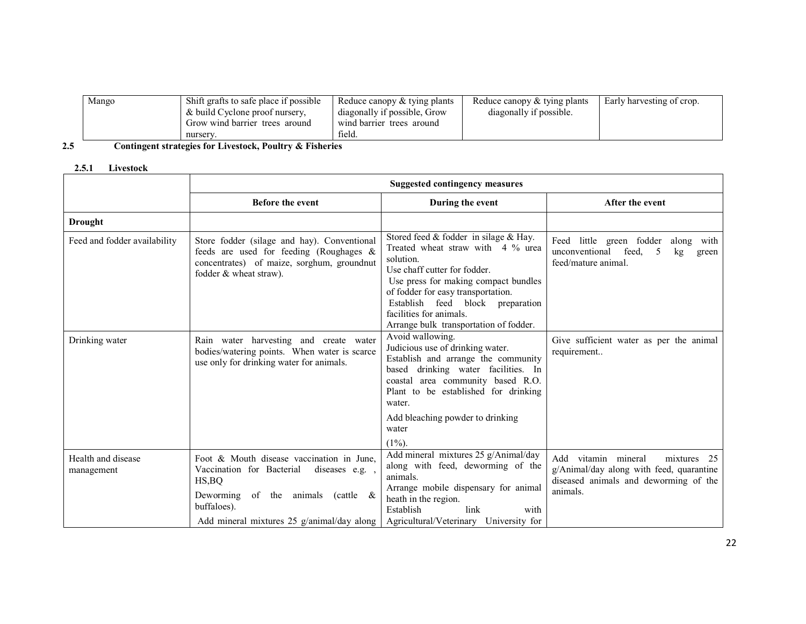| Mango | Shift grafts to safe place if possible | Reduce canopy & tying plants | Reduce canopy & tying plants | Early harvesting of crop. |
|-------|----------------------------------------|------------------------------|------------------------------|---------------------------|
|       | & build Cyclone proof nursery,         | diagonally if possible, Grow | diagonally if possible.      |                           |
|       | Grow wind barrier trees around         | wind barrier trees around    |                              |                           |
|       | nursery.                               | field.                       |                              |                           |

#### Contingent strategies for Livestock, Poultry & Fisheries 2.5

### 2.5.1 Livestock

|                                  | <b>Suggested contingency measures</b>                                                                                                                                                                                  |                                                                                                                                                                                                                                                                                                                    |                                                                                                                                           |  |  |
|----------------------------------|------------------------------------------------------------------------------------------------------------------------------------------------------------------------------------------------------------------------|--------------------------------------------------------------------------------------------------------------------------------------------------------------------------------------------------------------------------------------------------------------------------------------------------------------------|-------------------------------------------------------------------------------------------------------------------------------------------|--|--|
|                                  | <b>Before the event</b>                                                                                                                                                                                                | During the event                                                                                                                                                                                                                                                                                                   | After the event                                                                                                                           |  |  |
| Drought                          |                                                                                                                                                                                                                        |                                                                                                                                                                                                                                                                                                                    |                                                                                                                                           |  |  |
| Feed and fodder availability     | Store fodder (silage and hay). Conventional<br>feeds are used for feeding (Roughages &<br>concentrates) of maize, sorghum, groundnut<br>fodder & wheat straw).                                                         | Stored feed $&$ fodder in silage $&$ Hay.<br>Treated wheat straw with 4 % urea<br>solution.<br>Use chaff cutter for fodder.<br>Use press for making compact bundles<br>of fodder for easy transportation.<br>Establish feed block preparation<br>facilities for animals.<br>Arrange bulk transportation of fodder. | Feed little green fodder<br>along with<br>unconventional<br>feed.<br>5<br>kg<br>green<br>feed/mature animal.                              |  |  |
| Drinking water                   | Rain water harvesting and create water<br>bodies/watering points. When water is scarce<br>use only for drinking water for animals.                                                                                     | Avoid wallowing.<br>Judicious use of drinking water.<br>Establish and arrange the community<br>based drinking water facilities. In<br>coastal area community based R.O.<br>Plant to be established for drinking<br>water.<br>Add bleaching powder to drinking<br>water<br>$(1\%)$ .                                | Give sufficient water as per the animal<br>requirement                                                                                    |  |  |
| Health and disease<br>management | Foot & Mouth disease vaccination in June.<br>Vaccination for Bacterial<br>diseases e.g.<br>HS, BQ<br>Deworming of the animals<br>$\text{cattle} \quad \&$<br>buffaloes).<br>Add mineral mixtures 25 g/animal/day along | Add mineral mixtures 25 g/Animal/day<br>along with feed, deworming of the<br>animals.<br>Arrange mobile dispensary for animal<br>heath in the region.<br>Establish<br>link<br>with<br>Agricultural/Veterinary University for                                                                                       | vitamin mineral<br>Add<br>mixtures<br>25<br>g/Animal/day along with feed, quarantine<br>diseased animals and deworming of the<br>animals. |  |  |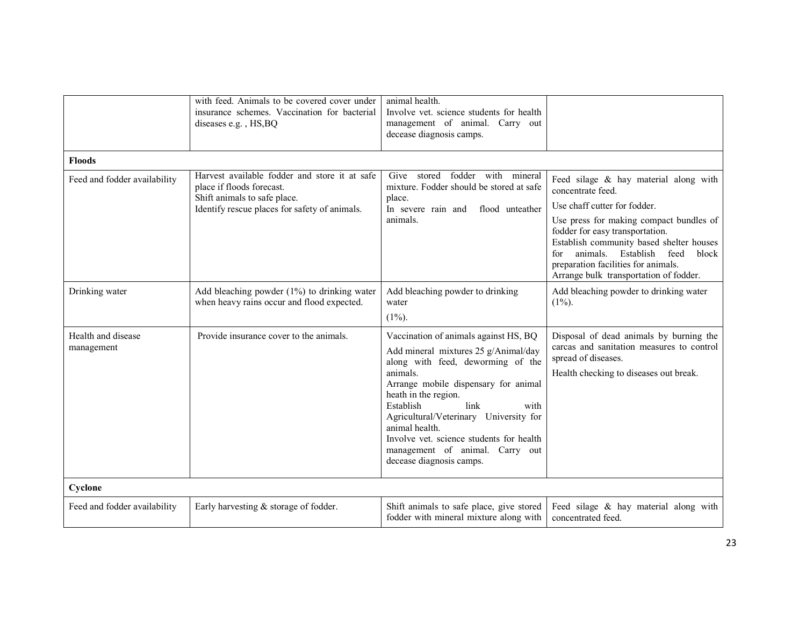|                                  | with feed. Animals to be covered cover under<br>insurance schemes. Vaccination for bacterial<br>diseases e.g., HS, BQ                                       | animal health.<br>Involve vet. science students for health<br>management of animal. Carry out<br>decease diagnosis camps.                                                                                                                                                                                                                                                                          |                                                                                                                                                                                                                                                                                                                                                  |
|----------------------------------|-------------------------------------------------------------------------------------------------------------------------------------------------------------|----------------------------------------------------------------------------------------------------------------------------------------------------------------------------------------------------------------------------------------------------------------------------------------------------------------------------------------------------------------------------------------------------|--------------------------------------------------------------------------------------------------------------------------------------------------------------------------------------------------------------------------------------------------------------------------------------------------------------------------------------------------|
| <b>Floods</b>                    |                                                                                                                                                             |                                                                                                                                                                                                                                                                                                                                                                                                    |                                                                                                                                                                                                                                                                                                                                                  |
| Feed and fodder availability     | Harvest available fodder and store it at safe<br>place if floods forecast.<br>Shift animals to safe place.<br>Identify rescue places for safety of animals. | fodder with mineral<br>Give<br>stored<br>mixture. Fodder should be stored at safe<br>place.<br>In severe rain and<br>flood unteather<br>animals.                                                                                                                                                                                                                                                   | Feed silage & hay material along with<br>concentrate feed.<br>Use chaff cutter for fodder.<br>Use press for making compact bundles of<br>fodder for easy transportation.<br>Establish community based shelter houses<br>block<br>animals. Establish feed<br>for<br>preparation facilities for animals.<br>Arrange bulk transportation of fodder. |
| Drinking water                   | Add bleaching powder (1%) to drinking water<br>when heavy rains occur and flood expected.                                                                   | Add bleaching powder to drinking<br>water<br>$(1\%)$ .                                                                                                                                                                                                                                                                                                                                             | Add bleaching powder to drinking water<br>$(1\%)$ .                                                                                                                                                                                                                                                                                              |
| Health and disease<br>management | Provide insurance cover to the animals.                                                                                                                     | Vaccination of animals against HS, BQ<br>Add mineral mixtures 25 g/Animal/day<br>along with feed, deworming of the<br>animals.<br>Arrange mobile dispensary for animal<br>heath in the region.<br>link<br>Establish<br>with<br>Agricultural/Veterinary University for<br>animal health.<br>Involve yet, science students for health<br>management of animal. Carry out<br>decease diagnosis camps. | Disposal of dead animals by burning the<br>carcas and sanitation measures to control<br>spread of diseases.<br>Health checking to diseases out break.                                                                                                                                                                                            |
| Cyclone                          |                                                                                                                                                             |                                                                                                                                                                                                                                                                                                                                                                                                    |                                                                                                                                                                                                                                                                                                                                                  |
| Feed and fodder availability     | Early harvesting & storage of fodder.                                                                                                                       | Shift animals to safe place, give stored<br>fodder with mineral mixture along with                                                                                                                                                                                                                                                                                                                 | Feed silage & hay material along with<br>concentrated feed.                                                                                                                                                                                                                                                                                      |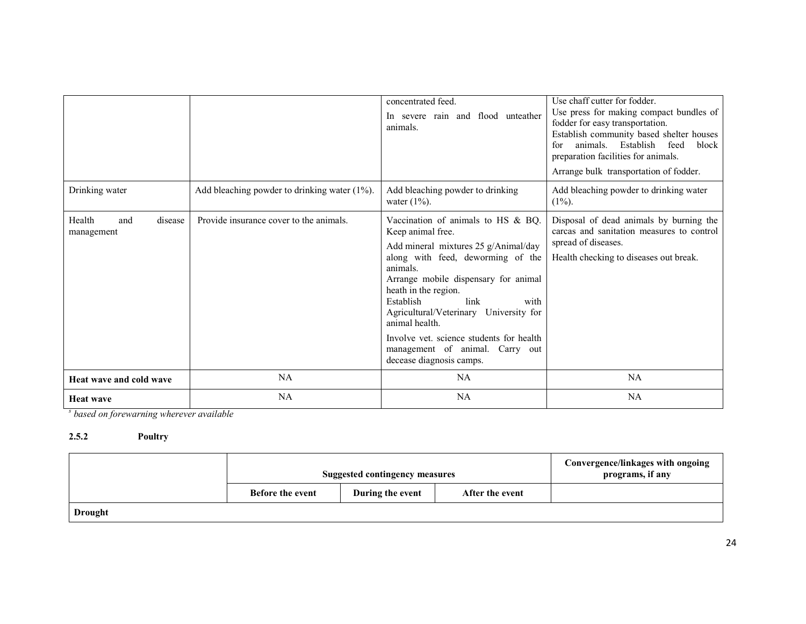|                                        |                                                  | concentrated feed.<br>In severe rain and flood unteather<br>animals.                                                                                                                                                                                                                                                                                                                                                 | Use chaff cutter for fodder.<br>Use press for making compact bundles of<br>fodder for easy transportation.<br>Establish community based shelter houses<br>animals. Establish<br>for<br>feed<br>block<br>preparation facilities for animals.<br>Arrange bulk transportation of fodder. |
|----------------------------------------|--------------------------------------------------|----------------------------------------------------------------------------------------------------------------------------------------------------------------------------------------------------------------------------------------------------------------------------------------------------------------------------------------------------------------------------------------------------------------------|---------------------------------------------------------------------------------------------------------------------------------------------------------------------------------------------------------------------------------------------------------------------------------------|
| Drinking water                         | Add bleaching powder to drinking water $(1\%)$ . | Add bleaching powder to drinking<br>water $(1\%)$ .                                                                                                                                                                                                                                                                                                                                                                  | Add bleaching powder to drinking water<br>$(1\%)$ .                                                                                                                                                                                                                                   |
| Health<br>and<br>disease<br>management | Provide insurance cover to the animals.          | Vaccination of animals to HS & BQ.<br>Keep animal free.<br>Add mineral mixtures 25 g/Animal/day<br>along with feed, deworming of the<br>animals.<br>Arrange mobile dispensary for animal<br>heath in the region.<br>Establish<br>link<br>with<br>Agricultural/Veterinary University for<br>animal health.<br>Involve yet, science students for health<br>management of animal. Carry out<br>decease diagnosis camps. | Disposal of dead animals by burning the<br>carcas and sanitation measures to control<br>spread of diseases.<br>Health checking to diseases out break.                                                                                                                                 |
| Heat wave and cold wave                | NA                                               | NA                                                                                                                                                                                                                                                                                                                                                                                                                   | NA                                                                                                                                                                                                                                                                                    |
| <b>Heat wave</b>                       | <b>NA</b>                                        | NA                                                                                                                                                                                                                                                                                                                                                                                                                   | NA                                                                                                                                                                                                                                                                                    |

<sup>s</sup> based on forewarning wherever available

#### 2.5.2 Poultry

|                | <b>Suggested contingency measures</b> |                  | Convergence/linkages with ongoing<br>programs, if any |  |
|----------------|---------------------------------------|------------------|-------------------------------------------------------|--|
|                | <b>Before the event</b>               | During the event | After the event                                       |  |
| <b>Drought</b> |                                       |                  |                                                       |  |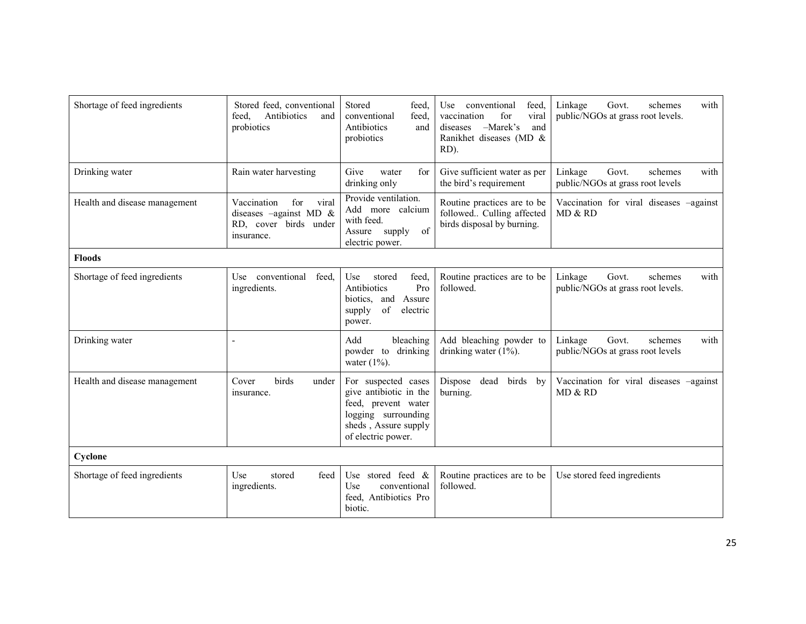| Shortage of feed ingredients  | Stored feed, conventional<br>Antibiotics<br>feed.<br>and<br>probiotics                               | Stored<br>feed,<br>conventional<br>feed.<br>Antibiotics<br>and<br>probiotics                                                              | conventional<br>Use<br>feed.<br>vaccination<br>for<br>viral<br>$-Marek's$<br>and<br>diseases<br>Ranikhet diseases (MD &<br>RD). | Linkage<br>Govt.<br>schemes<br>with<br>public/NGOs at grass root levels. |
|-------------------------------|------------------------------------------------------------------------------------------------------|-------------------------------------------------------------------------------------------------------------------------------------------|---------------------------------------------------------------------------------------------------------------------------------|--------------------------------------------------------------------------|
| Drinking water                | Rain water harvesting                                                                                | Give<br>for<br>water<br>drinking only                                                                                                     | Give sufficient water as per<br>the bird's requirement                                                                          | Linkage<br>Govt.<br>schemes<br>with<br>public/NGOs at grass root levels  |
| Health and disease management | Vaccination<br>viral<br>for<br>diseases $-\alpha$ gainst MD &<br>RD, cover birds under<br>insurance. | Provide ventilation.<br>Add more calcium<br>with feed.<br>of<br>supply<br>Assure<br>electric power.                                       | Routine practices are to be<br>followed Culling affected<br>birds disposal by burning.                                          | Vaccination for viral diseases -against<br>MD & RD                       |
| <b>Floods</b>                 |                                                                                                      |                                                                                                                                           |                                                                                                                                 |                                                                          |
| Shortage of feed ingredients  | conventional<br>feed.<br>Use<br>ingredients.                                                         | feed,<br>Use<br>stored<br>Antibiotics<br>Pro<br>Assure<br>biotics, and<br>of<br>supply<br>electric<br>power.                              | Routine practices are to be<br>followed.                                                                                        | Linkage<br>Govt.<br>schemes<br>with<br>public/NGOs at grass root levels. |
| Drinking water                | Ĭ.                                                                                                   | Add<br>bleaching<br>powder to drinking<br>water $(1\%)$ .                                                                                 | Add bleaching powder to<br>drinking water $(1\%)$ .                                                                             | Linkage<br>Govt.<br>schemes<br>with<br>public/NGOs at grass root levels  |
| Health and disease management | birds<br>Cover<br>under<br>insurance.                                                                | For suspected cases<br>give antibiotic in the<br>feed, prevent water<br>logging surrounding<br>sheds, Assure supply<br>of electric power. | Dispose<br>dead<br>birds by<br>burning.                                                                                         | Vaccination for viral diseases -against<br>MD & RD                       |
| Cyclone                       |                                                                                                      |                                                                                                                                           |                                                                                                                                 |                                                                          |
| Shortage of feed ingredients  | Use<br>feed<br>stored<br>ingredients.                                                                | Use stored feed $\&$<br>Use<br>conventional<br>feed, Antibiotics Pro<br>biotic.                                                           | Routine practices are to be<br>followed.                                                                                        | Use stored feed ingredients                                              |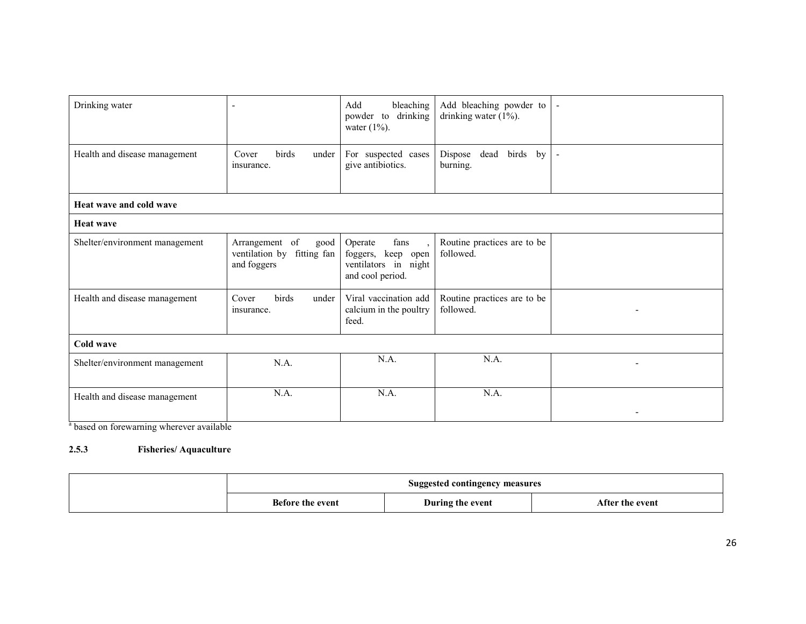| Drinking water                 | $\overline{\phantom{a}}$                                            | bleaching<br>Add<br>powder to<br>drinking<br>water $(1\%)$ .                      | Add bleaching powder to<br>drinking water $(1\%)$ . |  |
|--------------------------------|---------------------------------------------------------------------|-----------------------------------------------------------------------------------|-----------------------------------------------------|--|
| Health and disease management  | Cover<br>birds<br>under<br>insurance.                               | For suspected cases<br>give antibiotics.                                          | Dispose<br>dead<br>birds by<br>burning.             |  |
| Heat wave and cold wave        |                                                                     |                                                                                   |                                                     |  |
| <b>Heat wave</b>               |                                                                     |                                                                                   |                                                     |  |
| Shelter/environment management | Arrangement of<br>good<br>ventilation by fitting fan<br>and foggers | fans<br>Operate<br>foggers, keep open<br>ventilators in night<br>and cool period. | Routine practices are to be<br>followed.            |  |
| Health and disease management  | birds<br>Cover<br>under<br>insurance.                               | Viral vaccination add<br>calcium in the poultry<br>feed.                          | Routine practices are to be<br>followed.            |  |
| Cold wave                      |                                                                     |                                                                                   |                                                     |  |
| Shelter/environment management | N.A.                                                                | N.A.                                                                              | N.A.                                                |  |
| Health and disease management  | N.A.                                                                | N.A.                                                                              | N.A.                                                |  |

<sup>a</sup> based on forewarning wherever available

#### 2.5.3 Fisheries/ Aquaculture

|                  | Suggested contingency measures |                 |
|------------------|--------------------------------|-----------------|
| Before the event | During the event               | After the event |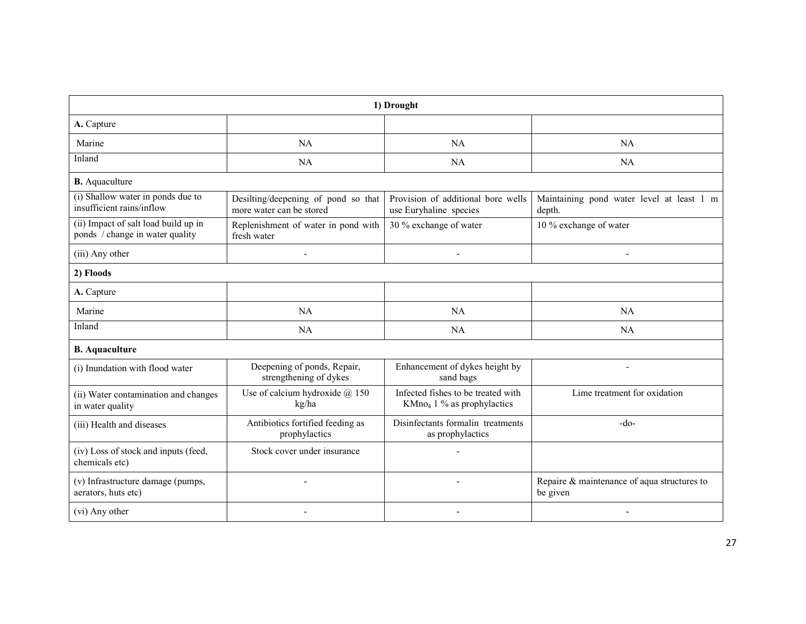| 1) Drought                                                              |                                                                 |                                                                              |                                                         |  |  |
|-------------------------------------------------------------------------|-----------------------------------------------------------------|------------------------------------------------------------------------------|---------------------------------------------------------|--|--|
| A. Capture                                                              |                                                                 |                                                                              |                                                         |  |  |
| Marine                                                                  | <b>NA</b>                                                       | NA                                                                           | NA                                                      |  |  |
| Inland                                                                  | <b>NA</b>                                                       | NA                                                                           | NA                                                      |  |  |
| <b>B.</b> Aquaculture                                                   |                                                                 |                                                                              |                                                         |  |  |
| (i) Shallow water in ponds due to<br>insufficient rains/inflow          | Desilting/deepening of pond so that<br>more water can be stored | Provision of additional bore wells<br>use Euryhaline species                 | Maintaining pond water level at least 1 m<br>depth.     |  |  |
| (ii) Impact of salt load build up in<br>ponds / change in water quality | Replenishment of water in pond with<br>fresh water              | 30 % exchange of water                                                       | 10 % exchange of water                                  |  |  |
| (iii) Any other                                                         | ÷,                                                              | $\blacksquare$                                                               | $\blacksquare$                                          |  |  |
| 2) Floods                                                               |                                                                 |                                                                              |                                                         |  |  |
| A. Capture                                                              |                                                                 |                                                                              |                                                         |  |  |
| Marine                                                                  | NA                                                              | <b>NA</b>                                                                    | NA                                                      |  |  |
| Inland                                                                  | <b>NA</b>                                                       | NA                                                                           | NA                                                      |  |  |
| <b>B.</b> Aquaculture                                                   |                                                                 |                                                                              |                                                         |  |  |
| (i) Inundation with flood water                                         | Deepening of ponds, Repair,<br>strengthening of dykes           | Enhancement of dykes height by<br>sand bags                                  |                                                         |  |  |
| (ii) Water contamination and changes<br>in water quality                | Use of calcium hydroxide $(a)$ 150<br>kg/ha                     | Infected fishes to be treated with<br>KMno <sub>4</sub> 1 % as prophylactics | Lime treatment for oxidation                            |  |  |
| (iii) Health and diseases                                               | Antibiotics fortified feeding as<br>prophylactics               | Disinfectants formalin treatments<br>as prophylactics                        | $-do-$                                                  |  |  |
| (iv) Loss of stock and inputs (feed,<br>chemicals etc)                  | Stock cover under insurance                                     |                                                                              |                                                         |  |  |
| (v) Infrastructure damage (pumps,<br>aerators, huts etc)                | L,                                                              |                                                                              | Repaire & maintenance of aqua structures to<br>be given |  |  |
| (vi) Any other                                                          |                                                                 |                                                                              |                                                         |  |  |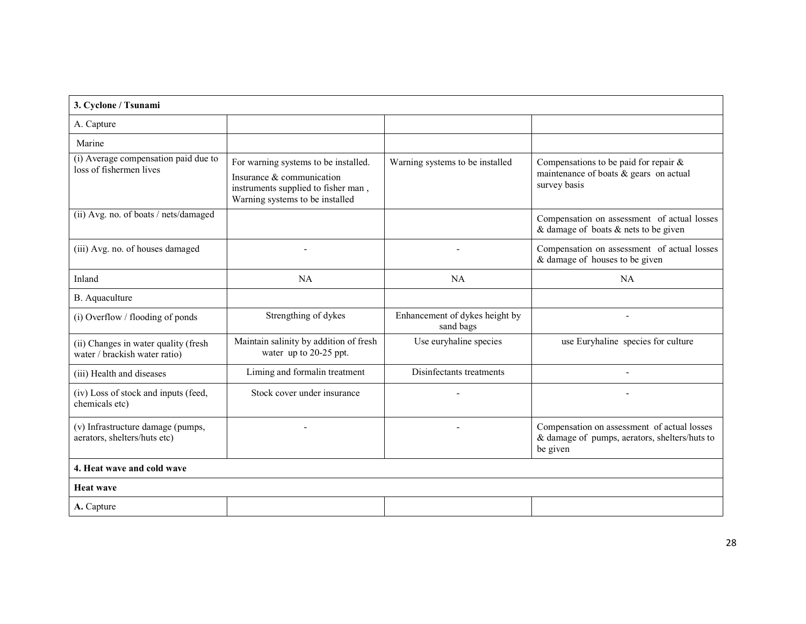| 3. Cyclone / Tsunami                                                  |                                                                                                                                             |                                             |                                                                                                          |  |  |
|-----------------------------------------------------------------------|---------------------------------------------------------------------------------------------------------------------------------------------|---------------------------------------------|----------------------------------------------------------------------------------------------------------|--|--|
| A. Capture                                                            |                                                                                                                                             |                                             |                                                                                                          |  |  |
| Marine                                                                |                                                                                                                                             |                                             |                                                                                                          |  |  |
| (i) Average compensation paid due to<br>loss of fishermen lives       | For warning systems to be installed.<br>Insurance & communication<br>instruments supplied to fisher man,<br>Warning systems to be installed | Warning systems to be installed             | Compensations to be paid for repair $\&$<br>maintenance of boats $\&$ gears on actual<br>survey basis    |  |  |
| (ii) Avg. no. of boats / nets/damaged                                 |                                                                                                                                             |                                             | Compensation on assessment of actual losses<br>& damage of boats $\&$ nets to be given                   |  |  |
| (iii) Avg. no. of houses damaged                                      |                                                                                                                                             |                                             | Compensation on assessment of actual losses<br>& damage of houses to be given                            |  |  |
| Inland                                                                | NA                                                                                                                                          | <b>NA</b>                                   | NA                                                                                                       |  |  |
| B. Aquaculture                                                        |                                                                                                                                             |                                             |                                                                                                          |  |  |
| (i) Overflow / flooding of ponds                                      | Strengthing of dykes                                                                                                                        | Enhancement of dykes height by<br>sand bags |                                                                                                          |  |  |
| (ii) Changes in water quality (fresh<br>water / brackish water ratio) | Maintain salinity by addition of fresh<br>water up to 20-25 ppt.                                                                            | Use euryhaline species                      | use Euryhaline species for culture                                                                       |  |  |
| (iii) Health and diseases                                             | Liming and formalin treatment                                                                                                               | Disinfectants treatments                    |                                                                                                          |  |  |
| (iv) Loss of stock and inputs (feed,<br>chemicals etc)                | Stock cover under insurance                                                                                                                 |                                             |                                                                                                          |  |  |
| (v) Infrastructure damage (pumps,<br>aerators, shelters/huts etc)     |                                                                                                                                             |                                             | Compensation on assessment of actual losses<br>& damage of pumps, aerators, shelters/huts to<br>be given |  |  |
| 4. Heat wave and cold wave                                            |                                                                                                                                             |                                             |                                                                                                          |  |  |
| <b>Heat wave</b>                                                      |                                                                                                                                             |                                             |                                                                                                          |  |  |
| A. Capture                                                            |                                                                                                                                             |                                             |                                                                                                          |  |  |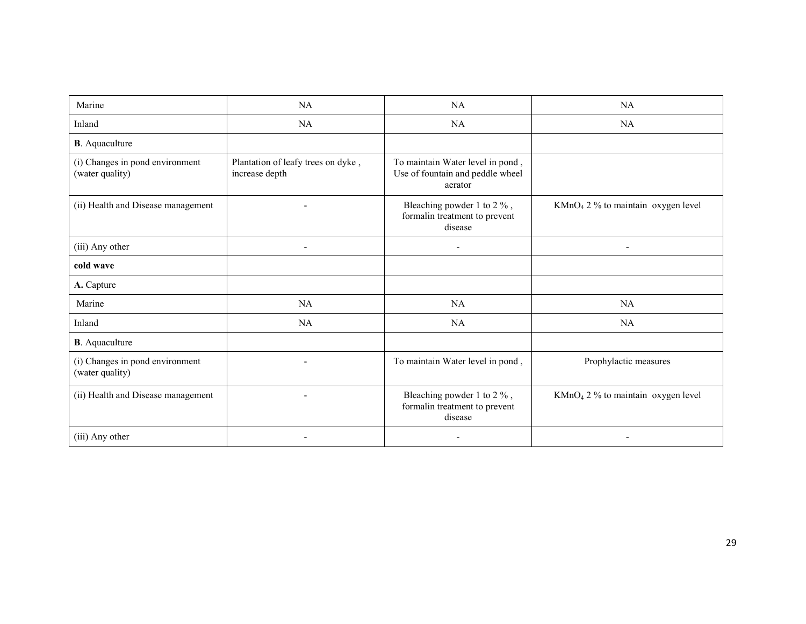| Marine                                             | <b>NA</b>                                            | NA                                                                              | NA                                   |
|----------------------------------------------------|------------------------------------------------------|---------------------------------------------------------------------------------|--------------------------------------|
| Inland                                             | <b>NA</b>                                            | NA                                                                              | <b>NA</b>                            |
| <b>B</b> . Aquaculture                             |                                                      |                                                                                 |                                      |
| (i) Changes in pond environment<br>(water quality) | Plantation of leafy trees on dyke,<br>increase depth | To maintain Water level in pond,<br>Use of fountain and peddle wheel<br>aerator |                                      |
| (ii) Health and Disease management                 |                                                      | Bleaching powder 1 to 2 %,<br>formalin treatment to prevent<br>disease          | $KMnO4 2 %$ to maintain oxygen level |
| (iii) Any other                                    | $\overline{\phantom{a}}$                             | $\overline{\phantom{a}}$                                                        | $\overline{\phantom{a}}$             |
| cold wave                                          |                                                      |                                                                                 |                                      |
| A. Capture                                         |                                                      |                                                                                 |                                      |
| Marine                                             | NA                                                   | NA                                                                              | NA                                   |
| Inland                                             | NA                                                   | NA                                                                              | <b>NA</b>                            |
| <b>B</b> . Aquaculture                             |                                                      |                                                                                 |                                      |
| (i) Changes in pond environment<br>(water quality) |                                                      | To maintain Water level in pond,                                                | Prophylactic measures                |
| (ii) Health and Disease management                 |                                                      | Bleaching powder 1 to 2 %,<br>formalin treatment to prevent<br>disease          | $KMnO4 2 %$ to maintain oxygen level |
| (iii) Any other                                    |                                                      |                                                                                 |                                      |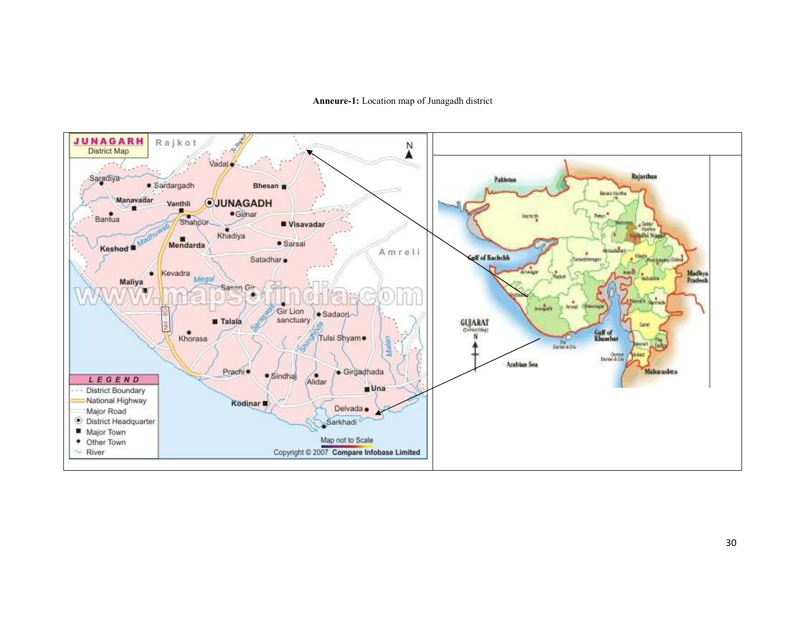#### Anneure-1: Location map of Junagadh district

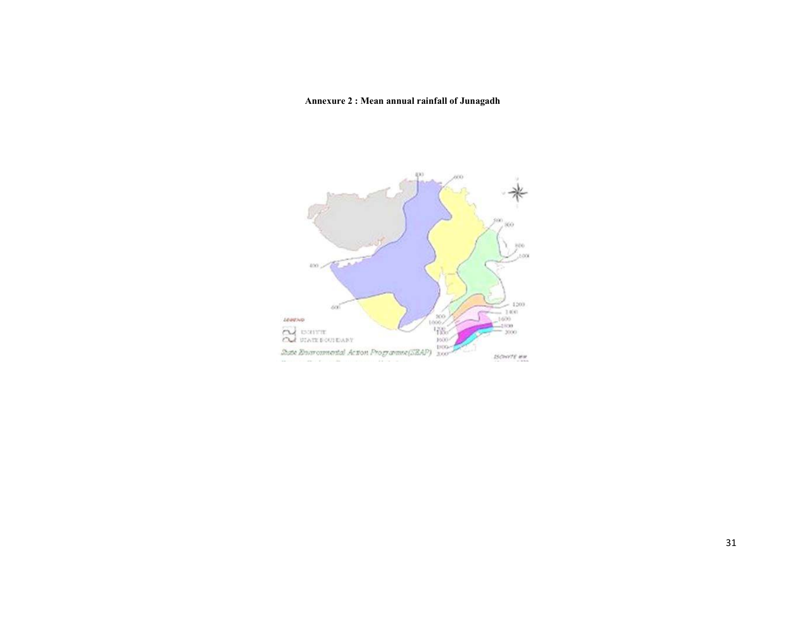Annexure 2 : Mean annual rainfall of Junagadh